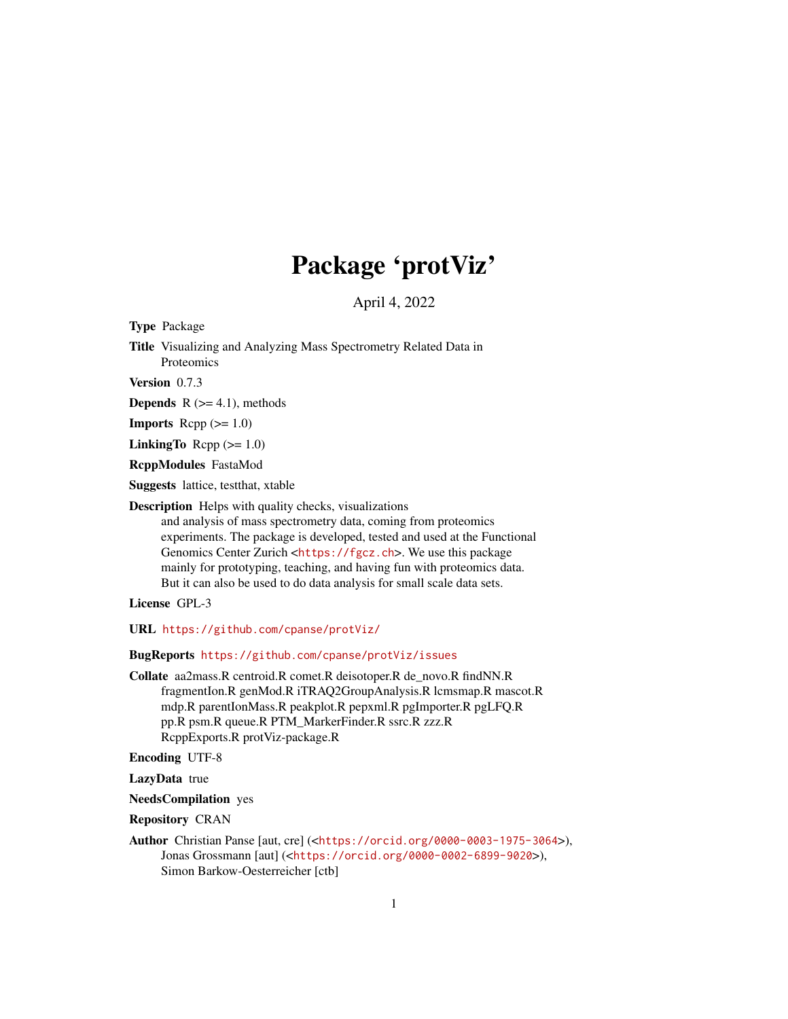## Package 'protViz'

April 4, 2022

<span id="page-0-0"></span>Type Package

Title Visualizing and Analyzing Mass Spectrometry Related Data in Proteomics

Version 0.7.3

**Depends**  $R$  ( $>= 4.1$ ), methods

**Imports** Rcpp  $(>= 1.0)$ 

LinkingTo Rcpp  $(>= 1.0)$ 

RcppModules FastaMod

Suggests lattice, testthat, xtable

Description Helps with quality checks, visualizations

and analysis of mass spectrometry data, coming from proteomics experiments. The package is developed, tested and used at the Functional Genomics Center Zurich <<https://fgcz.ch>>. We use this package mainly for prototyping, teaching, and having fun with proteomics data. But it can also be used to do data analysis for small scale data sets.

License GPL-3

URL <https://github.com/cpanse/protViz/>

BugReports <https://github.com/cpanse/protViz/issues>

Collate aa2mass.R centroid.R comet.R deisotoper.R de\_novo.R findNN.R fragmentIon.R genMod.R iTRAQ2GroupAnalysis.R lcmsmap.R mascot.R mdp.R parentIonMass.R peakplot.R pepxml.R pgImporter.R pgLFQ.R pp.R psm.R queue.R PTM\_MarkerFinder.R ssrc.R zzz.R RcppExports.R protViz-package.R

Encoding UTF-8

LazyData true

NeedsCompilation yes

Repository CRAN

Author Christian Panse [aut, cre] (<<https://orcid.org/0000-0003-1975-3064>>), Jonas Grossmann [aut] (<<https://orcid.org/0000-0002-6899-9020>>), Simon Barkow-Oesterreicher [ctb]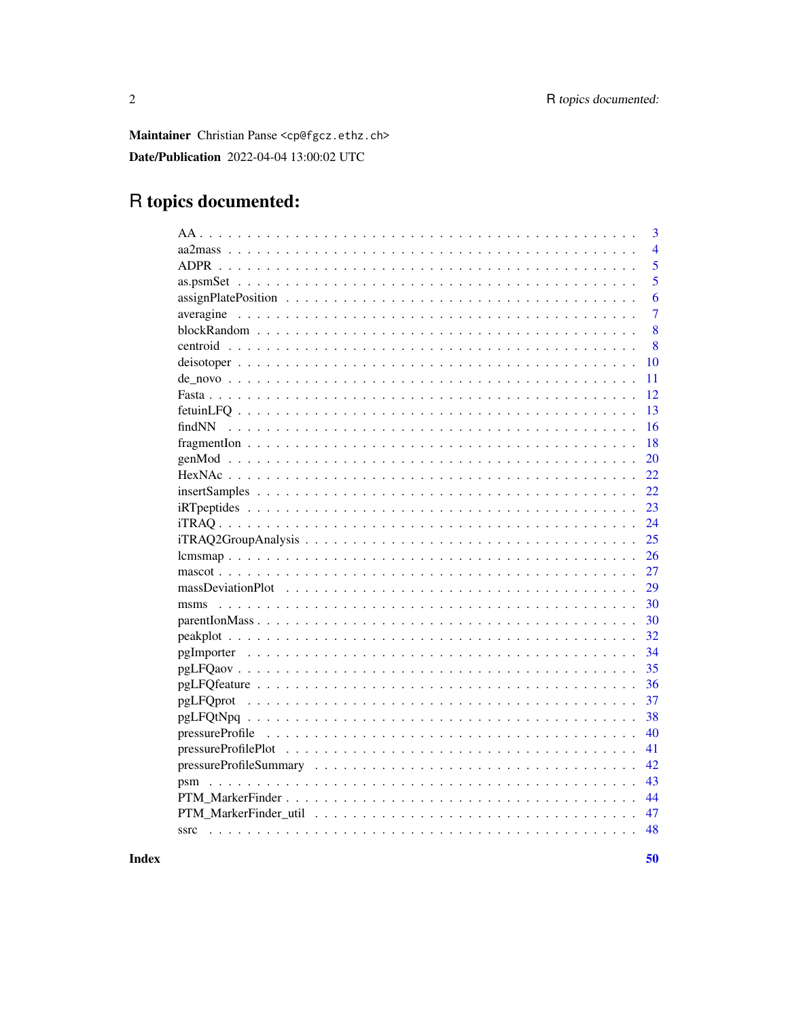Maintainer Christian Panse <cp@fgcz.ethz.ch> Date/Publication 2022-04-04 13:00:02 UTC

## R topics documented:

| 3              |
|----------------|
| $\overline{4}$ |
| 5              |
| 5              |
| 6              |
| $\overline{7}$ |
| 8              |
| 8              |
| 10             |
| 11             |
| 12             |
| 13             |
| 16             |
| 18             |
| 20             |
| 22             |
| 22             |
| 23             |
| 24             |
| 25             |
| 26             |
| 27             |
| 29             |
| 30             |
| 30             |
| 32             |
| 34             |
| 35             |
| 36             |
| 37             |
| 38             |
| 40             |
| 41             |
| 42             |
| 43             |
| 44             |
| 47             |
| 48             |
|                |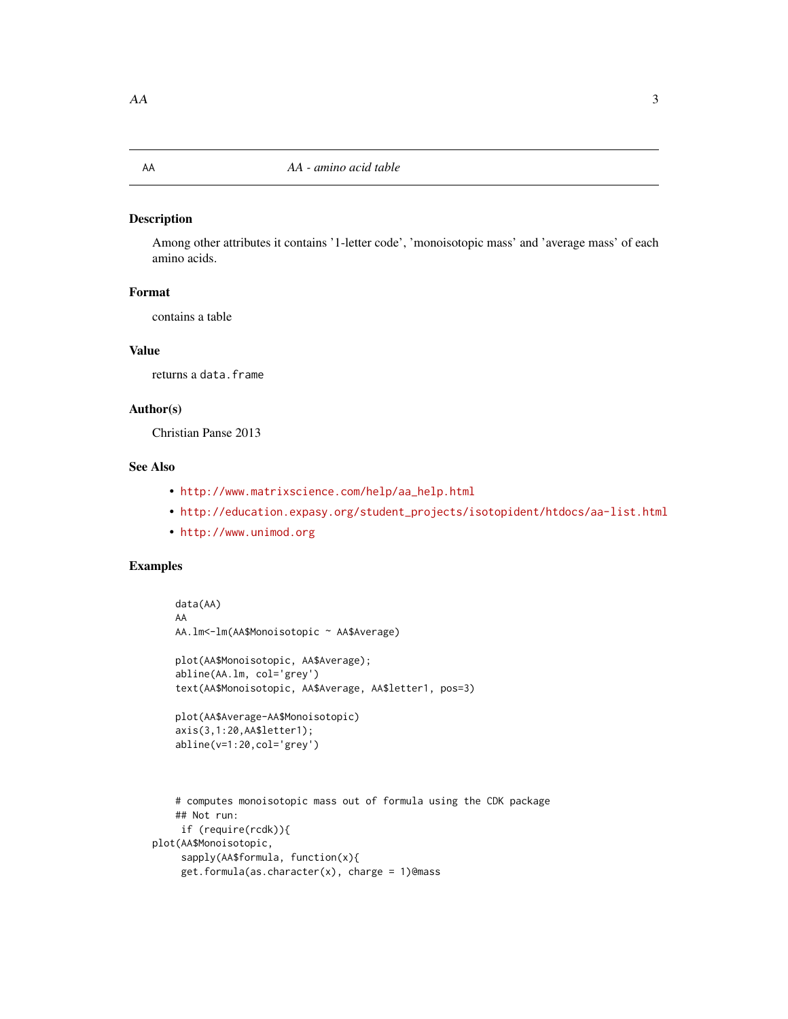## <span id="page-2-0"></span>Description

Among other attributes it contains '1-letter code', 'monoisotopic mass' and 'average mass' of each amino acids.

## Format

contains a table

## Value

returns a data.frame

#### Author(s)

Christian Panse 2013

## See Also

- [http://www.matrixscience.com/help/aa\\_help.html](http://www.matrixscience.com/help/aa_help.html)
- [http://education.expasy.org/student\\_projects/isotopident/htdocs/aa-list.html](http://education.expasy.org/student_projects/isotopident/htdocs/aa-list.html)
- <http://www.unimod.org>

abline(v=1:20,col='grey')

```
data(AA)
AA
AA.lm<-lm(AA$Monoisotopic ~ AA$Average)
plot(AA$Monoisotopic, AA$Average);
abline(AA.lm, col='grey')
text(AA$Monoisotopic, AA$Average, AA$letter1, pos=3)
plot(AA$Average-AA$Monoisotopic)
axis(3,1:20,AA$letter1);
```

```
# computes monoisotopic mass out of formula using the CDK package
## Not run:
```

```
if (require(rcdk)){
plot(AA$Monoisotopic,
    sapply(AA$formula, function(x){
     get.formula(as.character(x), charge = 1)@mass
```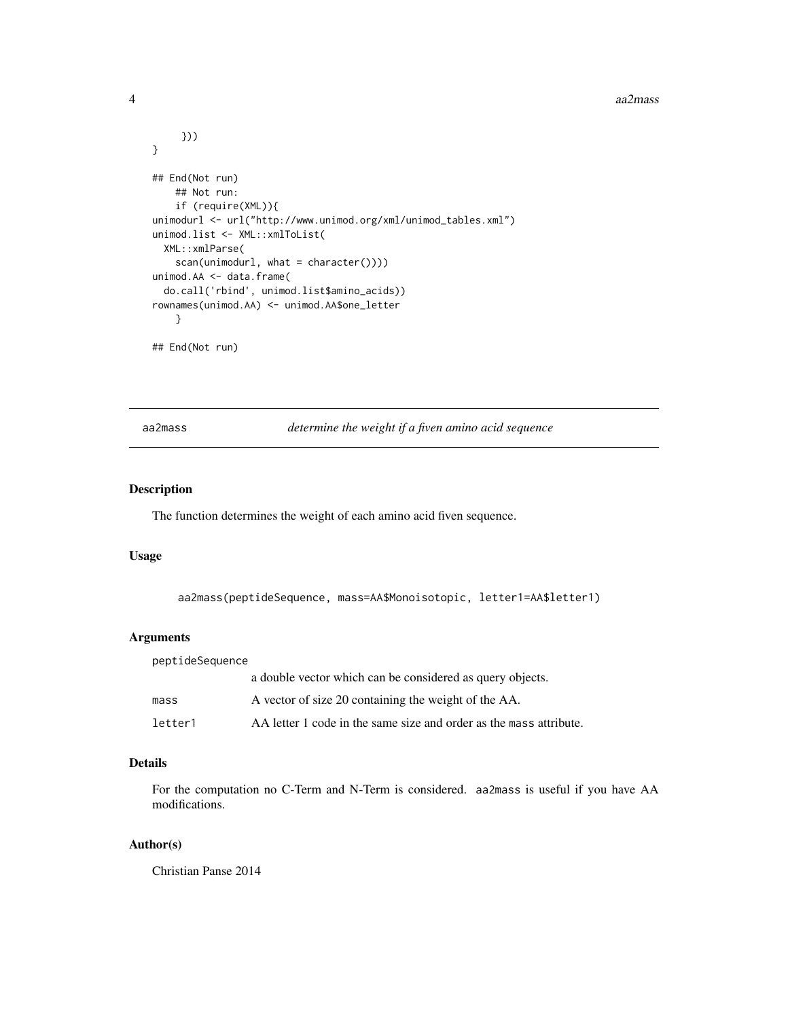#### <span id="page-3-0"></span>4 aa $2$ mass $\alpha$ aa $2$ mass $\alpha$

```
}))
}
## End(Not run)
   ## Not run:
    if (require(XML)){
unimodurl <- url("http://www.unimod.org/xml/unimod_tables.xml")
unimod.list <- XML::xmlToList(
  XML::xmlParse(
    scan(unimodurl, what = character())))
unimod.AA <- data.frame(
  do.call('rbind', unimod.list$amino_acids))
rownames(unimod.AA) <- unimod.AA$one_letter
    }
## End(Not run)
```
aa2mass *determine the weight if a fiven amino acid sequence*

## Description

The function determines the weight of each amino acid fiven sequence.

## Usage

aa2mass(peptideSequence, mass=AA\$Monoisotopic, letter1=AA\$letter1)

## Arguments

| peptideSequence |                                                                    |
|-----------------|--------------------------------------------------------------------|
|                 | a double vector which can be considered as query objects.          |
| mass            | A vector of size 20 containing the weight of the AA.               |
| letter1         | AA letter 1 code in the same size and order as the mass attribute. |

## Details

For the computation no C-Term and N-Term is considered. aa2mass is useful if you have AA modifications.

### Author(s)

Christian Panse 2014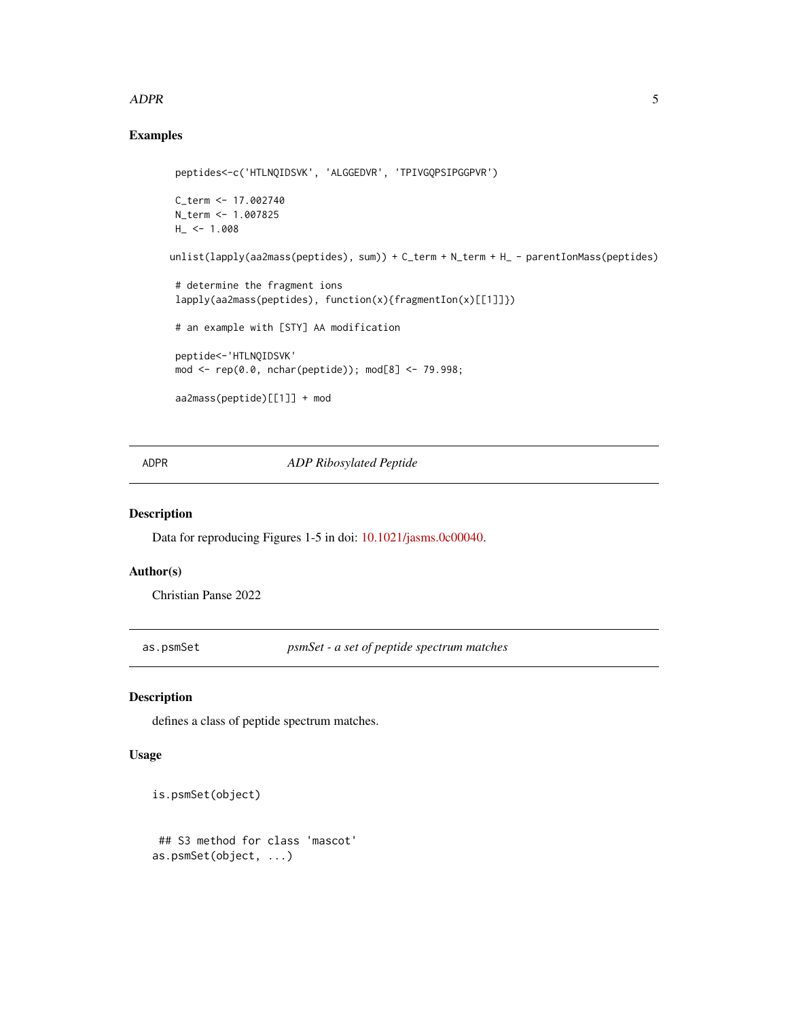#### <span id="page-4-0"></span>ADPR 5

## Examples

```
peptides<-c('HTLNQIDSVK', 'ALGGEDVR', 'TPIVGQPSIPGGPVR')
C_term <- 17.002740
N_term <- 1.007825
H_ - < -1.008unlist(lapply(aa2mass(peptides), sum)) + C_term + N_term + H_ - parentIonMass(peptides)
 # determine the fragment ions
 lapply(aa2mass(peptides), function(x){fragmentIon(x)[[1]]})
 # an example with [STY] AA modification
 peptide<-'HTLNQIDSVK'
 mod <- rep(0.0, nchar(peptide)); mod[8] <- 79.998;
 aa2mass(peptide)[[1]] + mod
```
## ADPR *ADP Ribosylated Peptide*

#### Description

Data for reproducing Figures 1-5 in doi: [10.1021/jasms.0c00040.](https://doi.org/10.1021/jasms.0c00040)

#### Author(s)

Christian Panse 2022

as.psmSet *psmSet - a set of peptide spectrum matches*

#### Description

defines a class of peptide spectrum matches.

## Usage

```
is.psmSet(object)
## S3 method for class 'mascot'
as.psmSet(object, ...)
```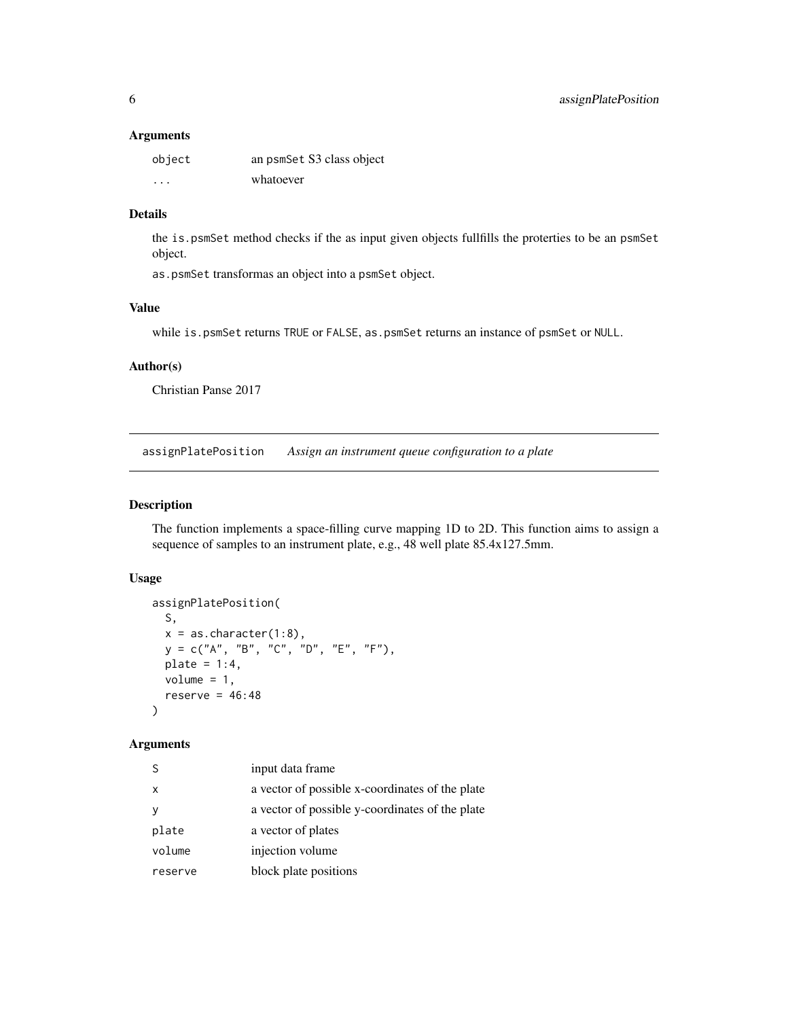#### <span id="page-5-0"></span>Arguments

| object               | an psmSet S3 class object |
|----------------------|---------------------------|
| $\ddot{\phantom{0}}$ | whatoever                 |

## Details

the is.psmSet method checks if the as input given objects fullfills the proterties to be an psmSet object.

as.psmSet transformas an object into a psmSet object.

#### Value

while is.psmSet returns TRUE or FALSE, as.psmSet returns an instance of psmSet or NULL.

#### Author(s)

Christian Panse 2017

assignPlatePosition *Assign an instrument queue configuration to a plate*

## Description

The function implements a space-filling curve mapping 1D to 2D. This function aims to assign a sequence of samples to an instrument plate, e.g., 48 well plate 85.4x127.5mm.

## Usage

```
assignPlatePosition(
 S,
 x = as. character(1:8),
 y = c("A", "B", "C", "D", "E", "F"),plate = 1:4,
 volume = 1,
 reserve = 46:48\lambda
```
## Arguments

| S.      | input data frame                                |
|---------|-------------------------------------------------|
| x       | a vector of possible x-coordinates of the plate |
| у       | a vector of possible y-coordinates of the plate |
| plate   | a vector of plates                              |
| volume  | injection volume                                |
| reserve | block plate positions                           |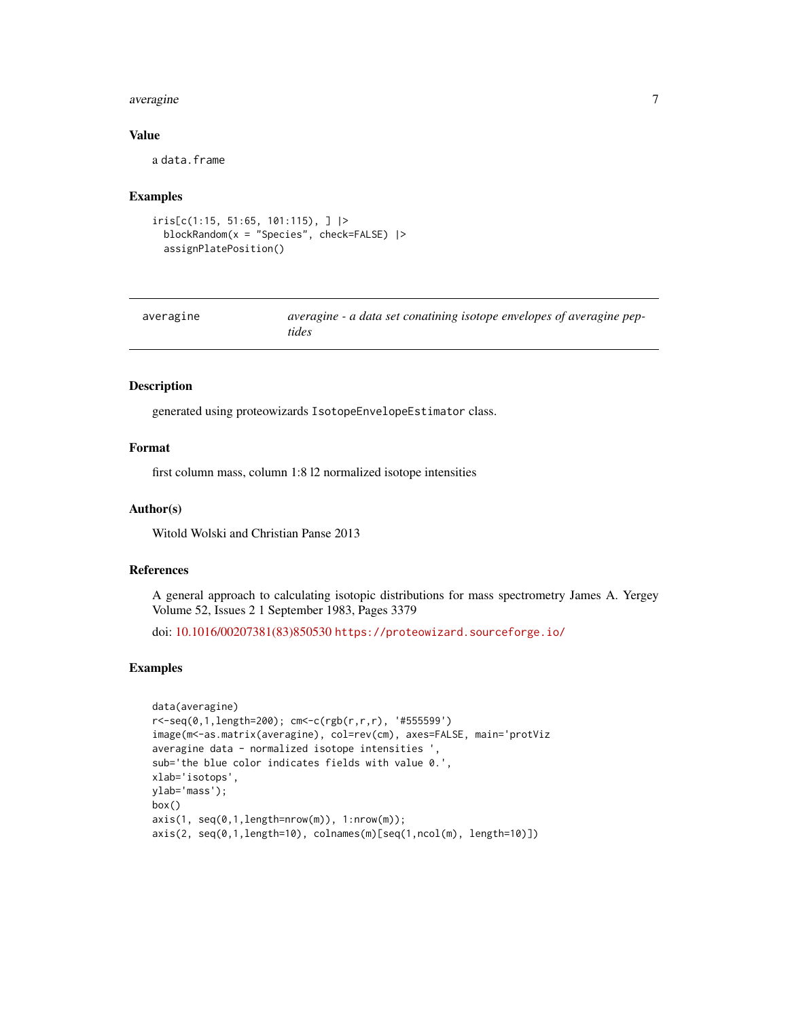#### <span id="page-6-0"></span>averagine 7 and 2012 19:00 the set of the set of the set of the set of the set of the set of the set of the set of the set of the set of the set of the set of the set of the set of the set of the set of the set of the set

#### Value

a data.frame

#### Examples

```
iris[c(1:15, 51:65, 101:115), ] |>
 blockRandom(x = "Species", check=FALSE) |>
 assignPlatePosition()
```

| averagine | averagine - a data set conatining isotope envelopes of averagine pep- |
|-----------|-----------------------------------------------------------------------|
|           | tides                                                                 |

#### Description

generated using proteowizards IsotopeEnvelopeEstimator class.

## Format

first column mass, column 1:8 l2 normalized isotope intensities

#### Author(s)

Witold Wolski and Christian Panse 2013

#### References

A general approach to calculating isotopic distributions for mass spectrometry James A. Yergey Volume 52, Issues 2 1 September 1983, Pages 3379

doi: [10.1016/00207381\(83\)850530](https://doi.org/10.1016/0020-7381(83)85053-0) <https://proteowizard.sourceforge.io/>

```
data(averagine)
r<-seq(0,1,length=200); cm<-c(rgb(r,r,r), '#555599')
image(m<-as.matrix(averagine), col=rev(cm), axes=FALSE, main='protViz
averagine data - normalized isotope intensities ',
sub='the blue color indicates fields with value 0.',
xlab='isotops',
ylab='mass');
box()
axis(1, seq(0,1,length=nrow(m)), 1:nrow(m));
axis(2, seq(0,1,length=10), colnames(m)[seq(1,ncol(m), length=10)])
```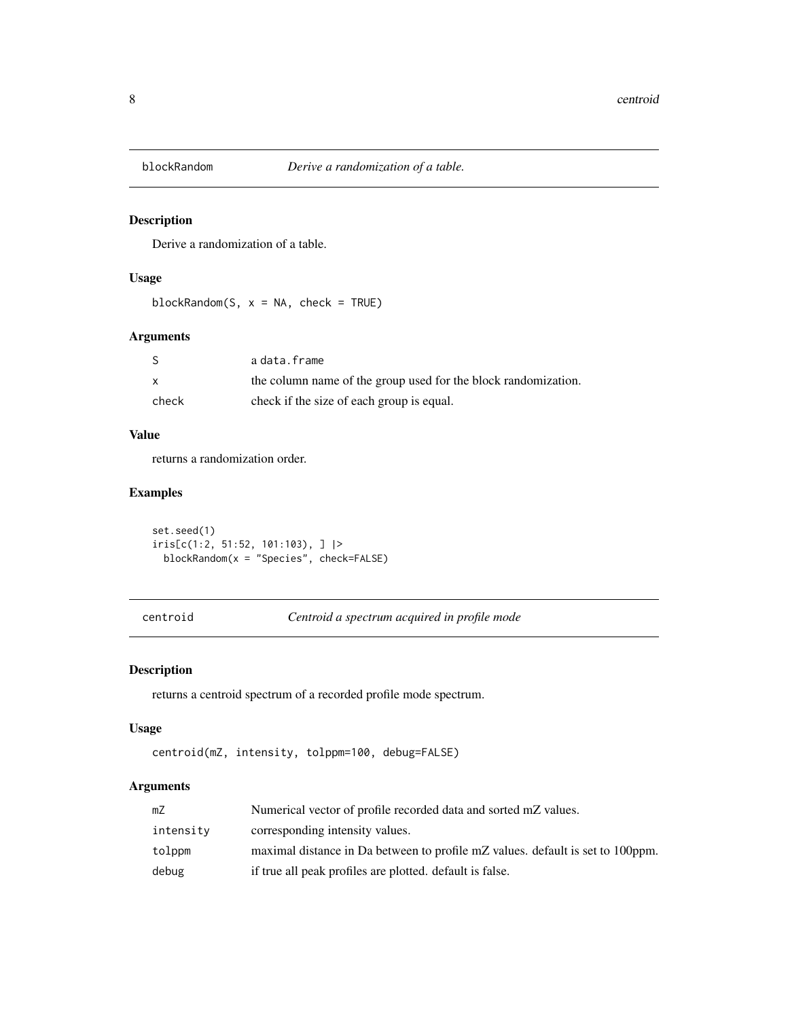<span id="page-7-0"></span>

## Description

Derive a randomization of a table.

## Usage

blockRandom(S,  $x = NA$ , check = TRUE)

## Arguments

|       | adata.frame                                                    |
|-------|----------------------------------------------------------------|
|       | the column name of the group used for the block randomization. |
| check | check if the size of each group is equal.                      |

## Value

returns a randomization order.

## Examples

```
set.seed(1)
iris[c(1:2, 51:52, 101:103), ] |>
 blockRandom(x = "Species", check=FALSE)
```
centroid *Centroid a spectrum acquired in profile mode*

## Description

returns a centroid spectrum of a recorded profile mode spectrum.

## Usage

```
centroid(mZ, intensity, tolppm=100, debug=FALSE)
```
## Arguments

| mZ        | Numerical vector of profile recorded data and sorted mZ values.                |
|-----------|--------------------------------------------------------------------------------|
| intensity | corresponding intensity values.                                                |
| tolppm    | maximal distance in Da between to profile mZ values, default is set to 100ppm. |
| debug     | if true all peak profiles are plotted. default is false.                       |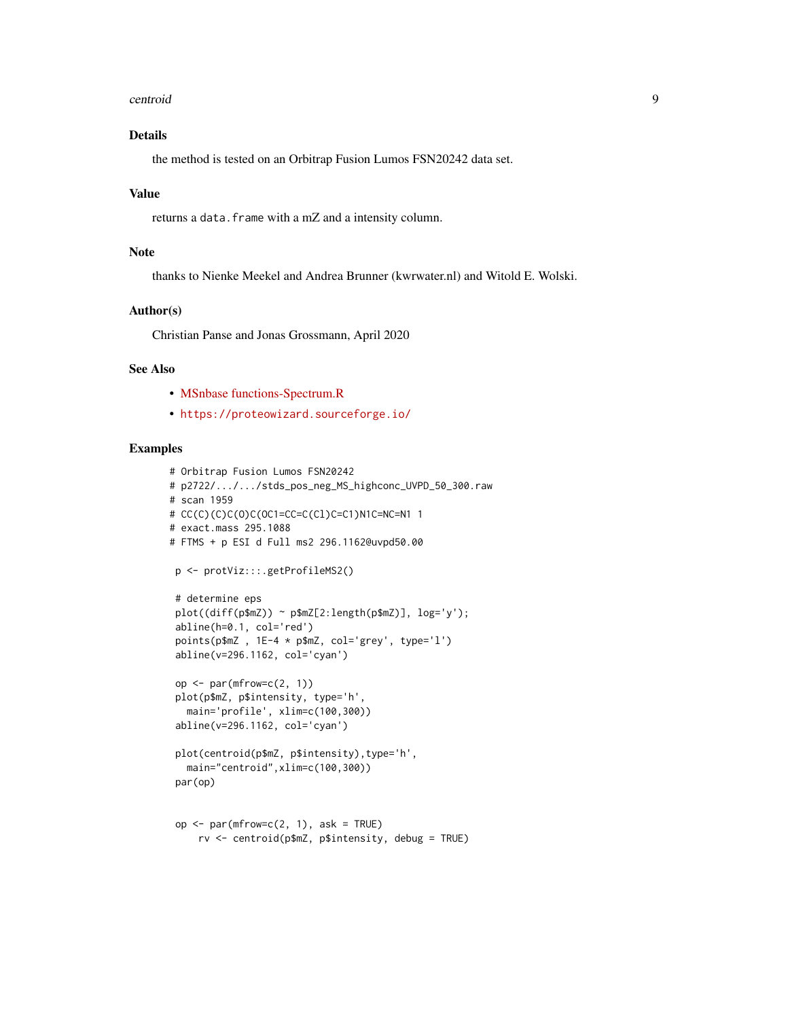#### centroid 9

## Details

the method is tested on an Orbitrap Fusion Lumos FSN20242 data set.

#### Value

returns a data.frame with a mZ and a intensity column.

## Note

thanks to Nienke Meekel and Andrea Brunner (kwrwater.nl) and Witold E. Wolski.

## Author(s)

Christian Panse and Jonas Grossmann, April 2020

#### See Also

- [MSnbase functions-Spectrum.R](https://github.com/lgatto/MSnbase/blob/2b6d6f5162e7464c39b48d0daa4d981c6ec30bbd/R/functions-Spectrum.R#L649)
- <https://proteowizard.sourceforge.io/>

```
# Orbitrap Fusion Lumos FSN20242
# p2722/.../.../stds_pos_neg_MS_highconc_UVPD_50_300.raw
# scan 1959
# CC(C)(C)C(O)C(OC1=CC=C(Cl)C=C1)N1C=NC=N1 1
# exact.mass 295.1088
# FTMS + p ESI d Full ms2 296.1162@uvpd50.00
 p <- protViz:::.getProfileMS2()
 # determine eps
 plot((diff(p$mZ)) ~ p$mZ[2:length(p$mZ)], log='y');
 abline(h=0.1, col='red')
 points(p$mZ , 1E-4 * p$mZ, col='grey', type='l')
 abline(v=296.1162, col='cyan')
 op \leq par(mfrow=c(2, 1))
plot(p$mZ, p$intensity, type='h',
   main='profile', xlim=c(100,300))
 abline(v=296.1162, col='cyan')
 plot(centroid(p$mZ, p$intensity),type='h',
   main="centroid",xlim=c(100,300))
 par(op)
 op \leq par(mfrow=c(2, 1), ask = TRUE)
     rv <- centroid(p$mZ, p$intensity, debug = TRUE)
```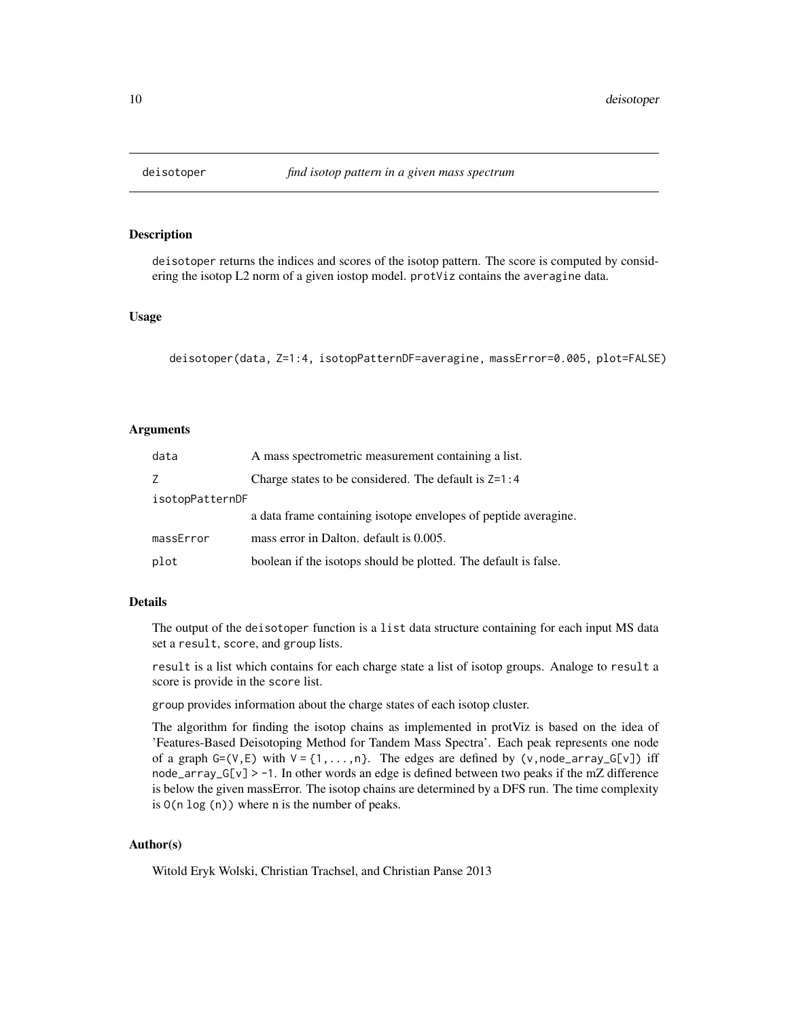<span id="page-9-0"></span>

## Description

deisotoper returns the indices and scores of the isotop pattern. The score is computed by considering the isotop L2 norm of a given iostop model. protViz contains the averagine data.

#### Usage

```
deisotoper(data, Z=1:4, isotopPatternDF=averagine, massError=0.005, plot=FALSE)
```
#### Arguments

| data            | A mass spectrometric measurement containing a list.             |  |
|-----------------|-----------------------------------------------------------------|--|
| Z.              | Charge states to be considered. The default is $Z=1:4$          |  |
| isotopPatternDF |                                                                 |  |
|                 | a data frame containing isotope envelopes of peptide averagine. |  |
| massError       | mass error in Dalton. default is 0.005.                         |  |
| plot            | boolean if the isotops should be plotted. The default is false. |  |

## Details

The output of the deisotoper function is a list data structure containing for each input MS data set a result, score, and group lists.

result is a list which contains for each charge state a list of isotop groups. Analoge to result a score is provide in the score list.

group provides information about the charge states of each isotop cluster.

The algorithm for finding the isotop chains as implemented in protViz is based on the idea of 'Features-Based Deisotoping Method for Tandem Mass Spectra'. Each peak represents one node of a graph  $G=(V,E)$  with  $V = \{1,\ldots,n\}$ . The edges are defined by (v,node\_array\_G[v]) iff node\_array\_G[v] > -1. In other words an edge is defined between two peaks if the mZ difference is below the given massError. The isotop chains are determined by a DFS run. The time complexity is O(n log (n)) where n is the number of peaks.

## Author(s)

Witold Eryk Wolski, Christian Trachsel, and Christian Panse 2013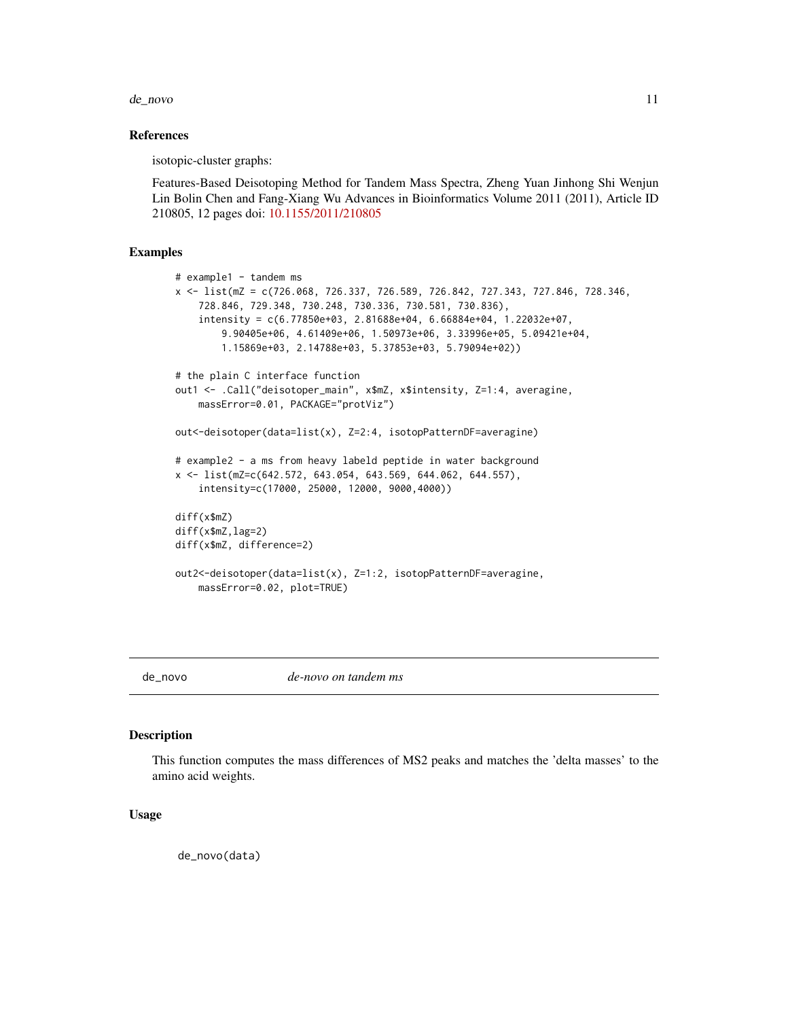#### <span id="page-10-0"></span>de\_novo 11

#### References

isotopic-cluster graphs:

Features-Based Deisotoping Method for Tandem Mass Spectra, Zheng Yuan Jinhong Shi Wenjun Lin Bolin Chen and Fang-Xiang Wu Advances in Bioinformatics Volume 2011 (2011), Article ID 210805, 12 pages doi: [10.1155/2011/210805](https://doi.org/10.1155/2011/210805)

#### Examples

```
# example1 - tandem ms
x <- list(mZ = c(726.068, 726.337, 726.589, 726.842, 727.343, 727.846, 728.346,
    728.846, 729.348, 730.248, 730.336, 730.581, 730.836),
    intensity = c(6.77850e+03, 2.81688e+04, 6.66884e+04, 1.22032e+07,
        9.90405e+06, 4.61409e+06, 1.50973e+06, 3.33996e+05, 5.09421e+04,
        1.15869e+03, 2.14788e+03, 5.37853e+03, 5.79094e+02))
# the plain C interface function
out1 <- .Call("deisotoper_main", x$mZ, x$intensity, Z=1:4, averagine,
    massError=0.01, PACKAGE="protViz")
out<-deisotoper(data=list(x), Z=2:4, isotopPatternDF=averagine)
# example2 - a ms from heavy labeld peptide in water background
x <- list(mZ=c(642.572, 643.054, 643.569, 644.062, 644.557),
    intensity=c(17000, 25000, 12000, 9000,4000))
diff(x$mZ)
diff(x$mZ,lag=2)
diff(x$mZ, difference=2)
out2<-deisotoper(data=list(x), Z=1:2, isotopPatternDF=averagine,
    massError=0.02, plot=TRUE)
```
de\_novo *de-novo on tandem ms*

## Description

This function computes the mass differences of MS2 peaks and matches the 'delta masses' to the amino acid weights.

#### Usage

de\_novo(data)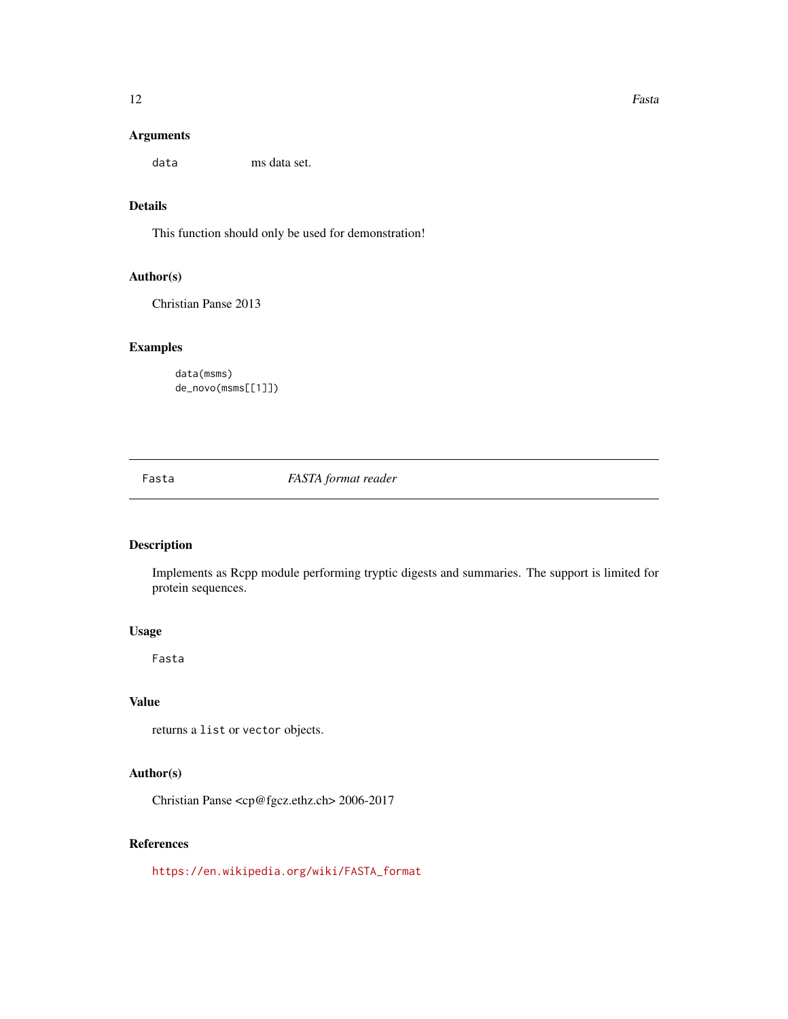data ms data set.

## Details

This function should only be used for demonstration!

## Author(s)

Christian Panse 2013

## Examples

data(msms) de\_novo(msms[[1]])

Fasta *FASTA format reader*

## Description

Implements as Rcpp module performing tryptic digests and summaries. The support is limited for protein sequences.

## Usage

Fasta

## Value

returns a list or vector objects.

## Author(s)

Christian Panse <cp@fgcz.ethz.ch> 2006-2017

## References

[https://en.wikipedia.org/wiki/FASTA\\_format](https://en.wikipedia.org/wiki/FASTA_format)

<span id="page-11-0"></span>12 **Fasta**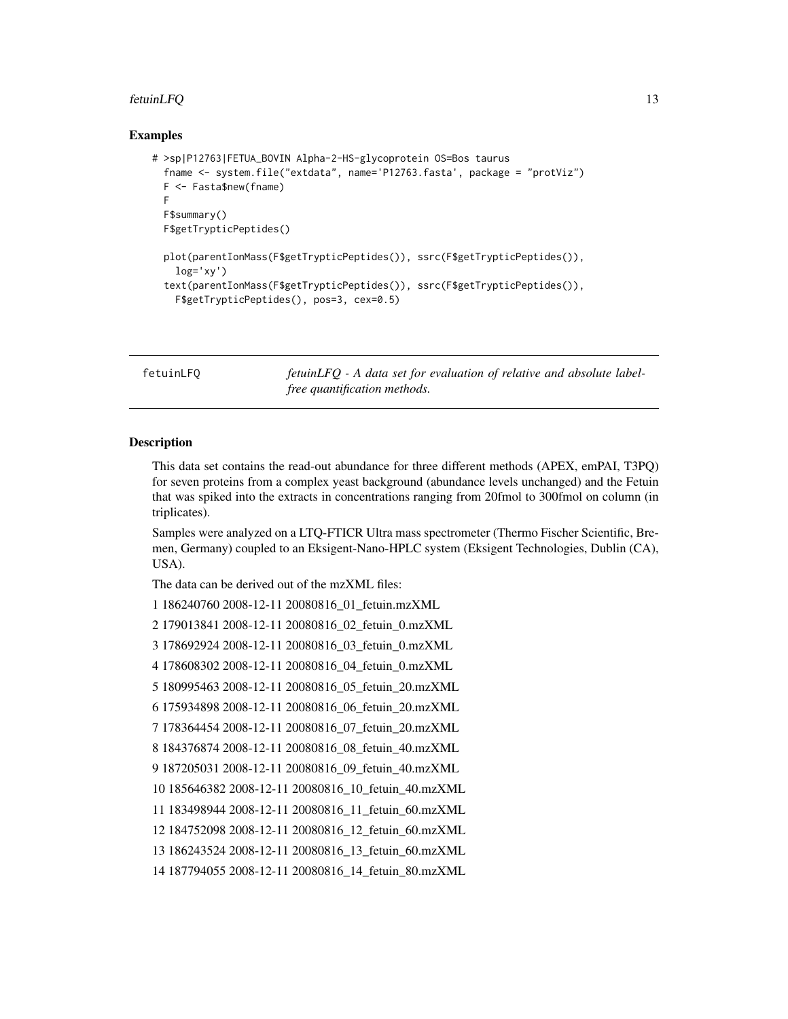#### <span id="page-12-0"></span> $f$ etuinLFQ  $\qquad \qquad$  13

#### Examples

```
# >sp|P12763|FETUA_BOVIN Alpha-2-HS-glycoprotein OS=Bos taurus
 fname <- system.file("extdata", name='P12763.fasta', package = "protViz")
 F <- Fasta$new(fname)
 F
 F$summary()
 F$getTrypticPeptides()
 plot(parentIonMass(F$getTrypticPeptides()), ssrc(F$getTrypticPeptides()),
   log='xy')text(parentIonMass(F$getTrypticPeptides()), ssrc(F$getTrypticPeptides()),
   F$getTrypticPeptides(), pos=3, cex=0.5)
```
fetuinLFQ *fetuinLFQ - A data set for evaluation of relative and absolute labelfree quantification methods.*

#### Description

This data set contains the read-out abundance for three different methods (APEX, emPAI, T3PQ) for seven proteins from a complex yeast background (abundance levels unchanged) and the Fetuin that was spiked into the extracts in concentrations ranging from 20fmol to 300fmol on column (in triplicates).

Samples were analyzed on a LTQ-FTICR Ultra mass spectrometer (Thermo Fischer Scientific, Bremen, Germany) coupled to an Eksigent-Nano-HPLC system (Eksigent Technologies, Dublin (CA), USA).

The data can be derived out of the mzXML files:

```
1 186240760 2008-12-11 20080816_01_fetuin.mzXML
```
2 179013841 2008-12-11 20080816\_02\_fetuin\_0.mzXML

```
3 178692924 2008-12-11 20080816_03_fetuin_0.mzXML
```
4 178608302 2008-12-11 20080816\_04\_fetuin\_0.mzXML

```
5 180995463 2008-12-11 20080816_05_fetuin_20.mzXML
```
6 175934898 2008-12-11 20080816\_06\_fetuin\_20.mzXML

```
7 178364454 2008-12-11 20080816_07_fetuin_20.mzXML
```
8 184376874 2008-12-11 20080816\_08\_fetuin\_40.mzXML

```
9 187205031 2008-12-11 20080816_09_fetuin_40.mzXML
```

```
10 185646382 2008-12-11 20080816_10_fetuin_40.mzXML
```

```
11 183498944 2008-12-11 20080816_11_fetuin_60.mzXML
```

```
12 184752098 2008-12-11 20080816_12_fetuin_60.mzXML
```
13 186243524 2008-12-11 20080816\_13\_fetuin\_60.mzXML

14 187794055 2008-12-11 20080816\_14\_fetuin\_80.mzXML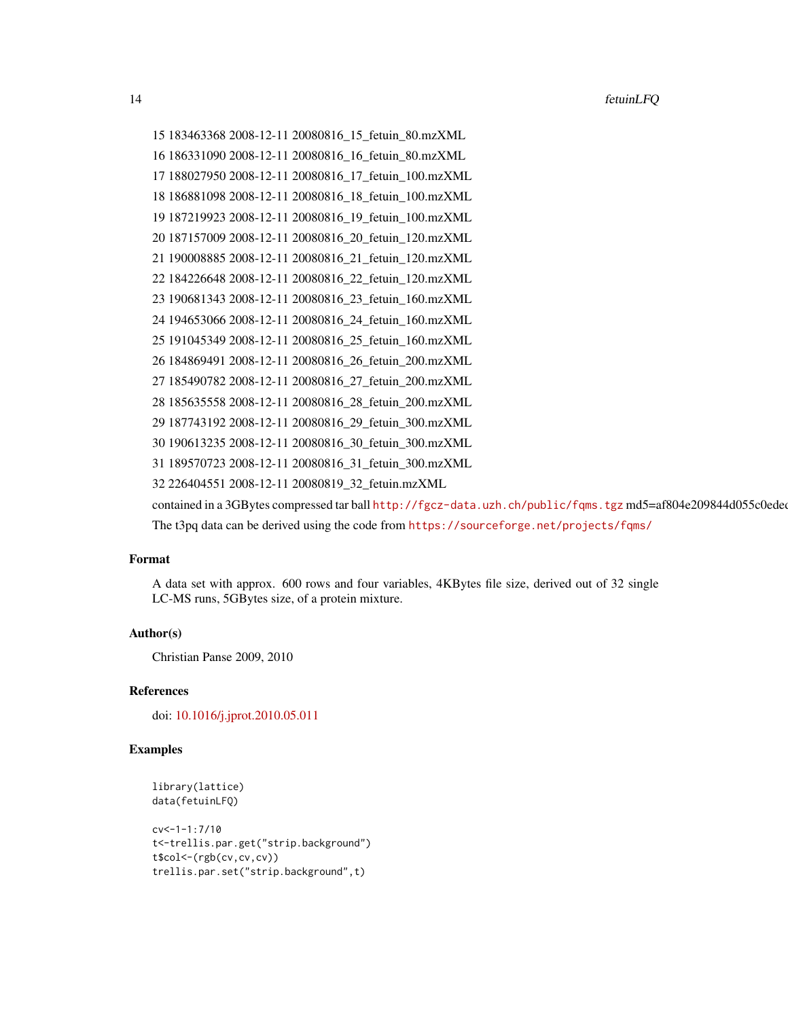```
15 183463368 2008-12-11 20080816_15_fetuin_80.mzXML
16 186331090 2008-12-11 20080816_16_fetuin_80.mzXML
17 188027950 2008-12-11 20080816_17_fetuin_100.mzXML
18 186881098 2008-12-11 20080816_18_fetuin_100.mzXML
19 187219923 2008-12-11 20080816_19_fetuin_100.mzXML
20 187157009 2008-12-11 20080816_20_fetuin_120.mzXML
21 190008885 2008-12-11 20080816_21_fetuin_120.mzXML
22 184226648 2008-12-11 20080816_22_fetuin_120.mzXML
23 190681343 2008-12-11 20080816_23_fetuin_160.mzXML
24 194653066 2008-12-11 20080816_24_fetuin_160.mzXML
25 191045349 2008-12-11 20080816_25_fetuin_160.mzXML
26 184869491 2008-12-11 20080816_26_fetuin_200.mzXML
27 185490782 2008-12-11 20080816_27_fetuin_200.mzXML
28 185635558 2008-12-11 20080816_28_fetuin_200.mzXML
29 187743192 2008-12-11 20080816_29_fetuin_300.mzXML
30 190613235 2008-12-11 20080816_30_fetuin_300.mzXML
31 189570723 2008-12-11 20080816_31_fetuin_300.mzXML
32 226404551 2008-12-11 20080819_32_fetuin.mzXML
http://fgcz-data.uzh.ch/public/fqms.tgz md5=af804e209844d055c0edee
```
The t3pq data can be derived using the code from <https://sourceforge.net/projects/fqms/>

#### Format

A data set with approx. 600 rows and four variables, 4KBytes file size, derived out of 32 single LC-MS runs, 5GBytes size, of a protein mixture.

#### Author(s)

Christian Panse 2009, 2010

#### References

doi: [10.1016/j.jprot.2010.05.011](https://doi.org/10.1016/j.jprot.2010.05.011)

```
library(lattice)
data(fetuinLFQ)
```

```
cv<-1-1:7/10
t<-trellis.par.get("strip.background")
t$col<-(rgb(cv,cv,cv))
trellis.par.set("strip.background",t)
```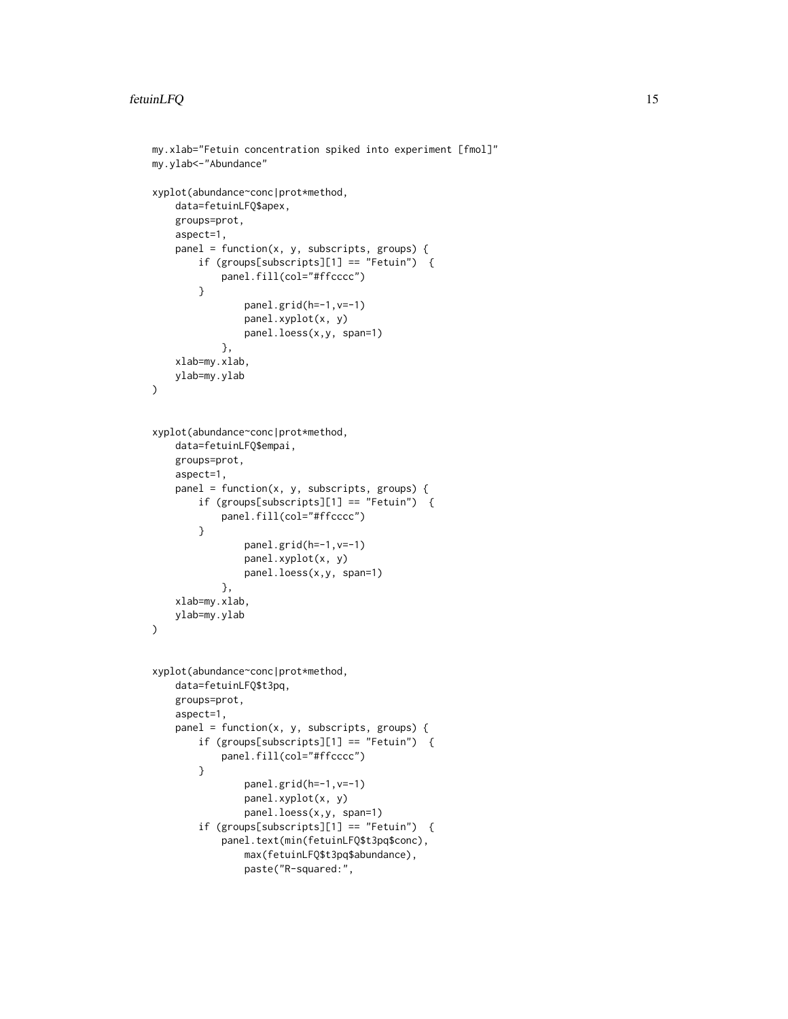```
my.xlab="Fetuin concentration spiked into experiment [fmol]"
my.ylab<-"Abundance"
xyplot(abundance~conc|prot*method,
   data=fetuinLFQ$apex,
   groups=prot,
   aspect=1,
   panel = function(x, y, subscripts, groups) {
        if (groups[subscripts][1] == "Fetuin") {
            panel.fill(col="#ffcccc")
        }
                panel.grid(h=-1,v=-1)
                panel.xyplot(x, y)
                panel.loess(x,y, span=1)
            },
    xlab=my.xlab,
    ylab=my.ylab
\mathcal{L}xyplot(abundance~conc|prot*method,
    data=fetuinLFQ$empai,
    groups=prot,
   aspect=1,
   panel = function(x, y, subscripts, groups) {
        if (groups[subscripts][1] == "Fetuin") {
            panel.fill(col="#ffcccc")
        }
                panel.grid(h=-1,v=-1)
                panel.xyplot(x, y)
                panel.loess(x,y, span=1)
            },
    xlab=my.xlab,
   ylab=my.ylab
\mathcal{L}xyplot(abundance~conc|prot*method,
    data=fetuinLFQ$t3pq,
    groups=prot,
    aspect=1,
   panel = function(x, y, subscripts, groups) {
        if (groups[subscripts][1] == "Fetuin") {
            panel.fill(col="#ffcccc")
        }
                panel.grid(h=-1,v=-1)
                panel.xyplot(x, y)
                panel.loess(x,y, span=1)
        if (groups[subscripts][1] == "Fetuin") {
            panel.text(min(fetuinLFQ$t3pq$conc),
                max(fetuinLFQ$t3pq$abundance),
                paste("R-squared:",
```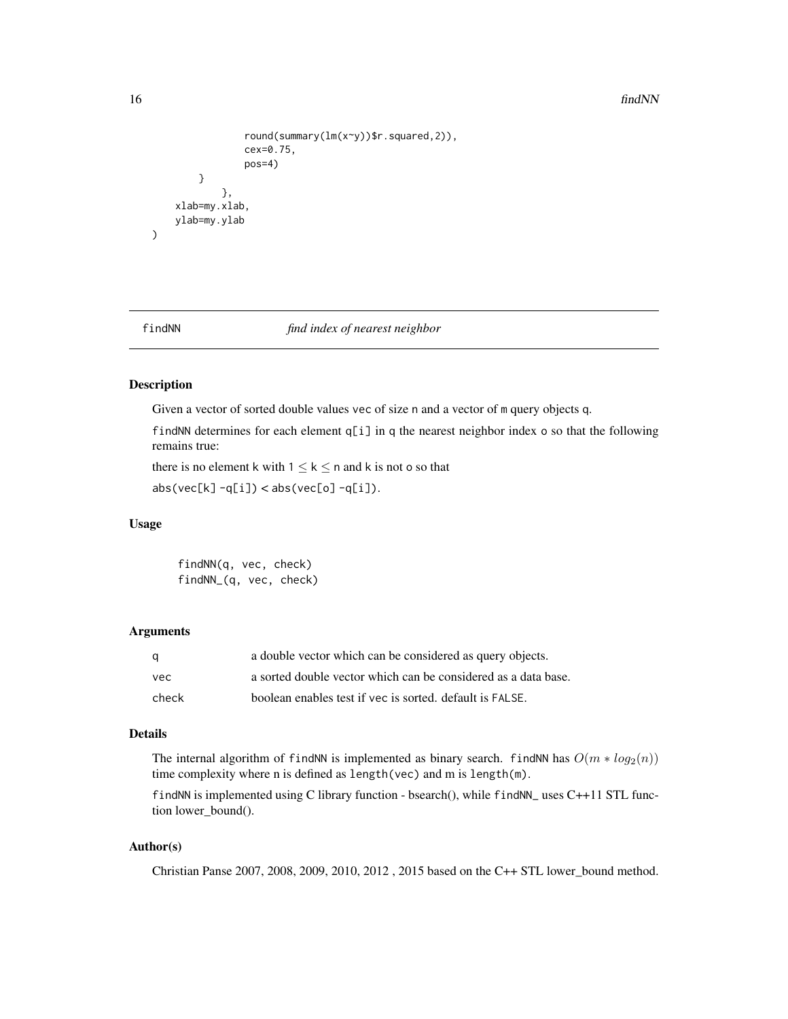#### <span id="page-15-0"></span>16 findNN find NN

```
round(summary(lm(x~y))$r.squared,2)),
            cex=0.75,
            pos=4)
    }
        },
xlab=my.xlab,
ylab=my.ylab
```
)

findNN *find index of nearest neighbor*

#### Description

Given a vector of sorted double values vec of size n and a vector of m query objects q.

findNN determines for each element  $q[i]$  in q the nearest neighbor index o so that the following remains true:

there is no element k with  $1 \leq k \leq n$  and k is not o so that  $abs(vec[k] -q[i]) < abs(vec[o] -q[i]).$ 

#### Usage

findNN(q, vec, check) findNN\_(q, vec, check)

#### Arguments

| q     | a double vector which can be considered as query objects.      |
|-------|----------------------------------------------------------------|
| vec   | a sorted double vector which can be considered as a data base. |
| check | boolean enables test if vec is sorted, default is FALSE.       |

#### Details

The internal algorithm of findNN is implemented as binary search. findNN has  $O(m * log_2(n))$ time complexity where n is defined as length(vec) and m is length(m).

findNN is implemented using C library function - bsearch $()$ , while findNN\_ uses C++11 STL function lower\_bound().

## Author(s)

Christian Panse 2007, 2008, 2009, 2010, 2012 , 2015 based on the C++ STL lower\_bound method.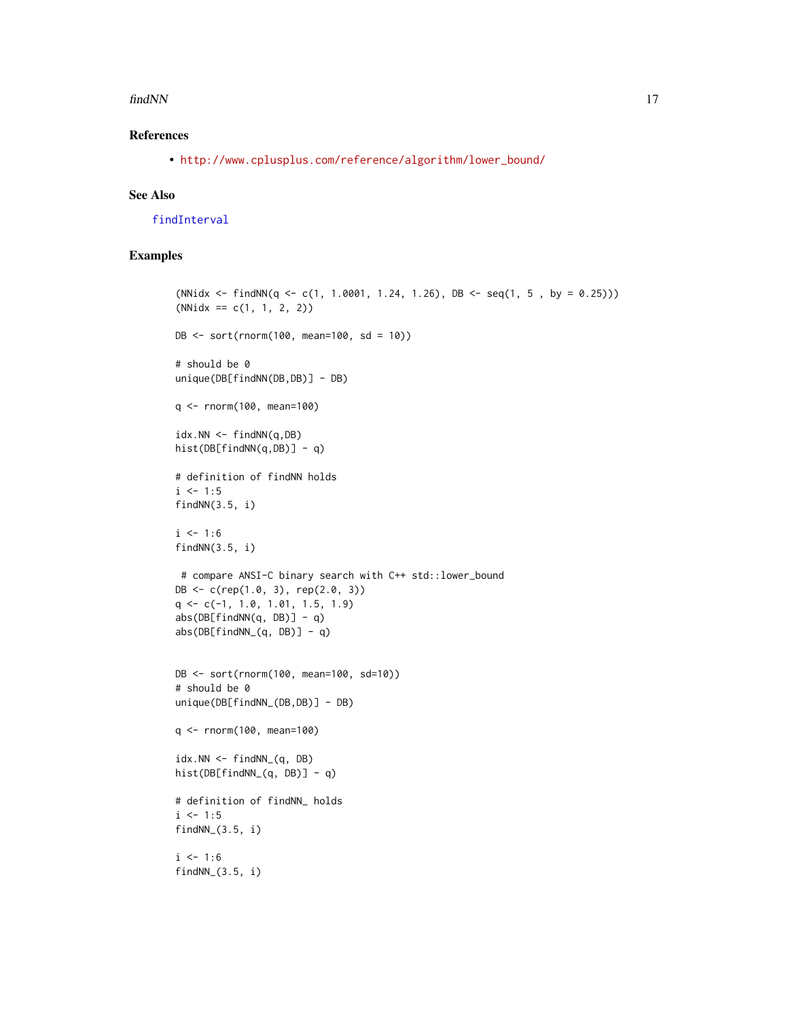#### <span id="page-16-0"></span>findNN 17

## References

• [http://www.cplusplus.com/reference/algorithm/lower\\_bound/](http://www.cplusplus.com/reference/algorithm/lower_bound/)

## See Also

[findInterval](#page-0-0)

```
(NNidx \leftarrow findNN(q \leftarrow c(1, 1.0001, 1.24, 1.26), DB \leftarrow seq(1, 5, by = 0.25)))(NNidx == c(1, 1, 2, 2))DB <- sort(rnorm(100, mean=100, sd = 10))
# should be 0
unique(DB[findNN(DB,DB)] - DB)
q <- rnorm(100, mean=100)
idx.NN \leftarrow findNN(q, DB)hist(DB[findNN(q,DB)] - q)
# definition of findNN holds
i \le -1:5findNN(3.5, i)
i \le -1:6findNN(3.5, i)
 # compare ANSI-C binary search with C++ std::lower_bound
DB <- c(rep(1.0, 3), rep(2.0, 3))
q \leftarrow c(-1, 1.0, 1.01, 1.5, 1.9)abs(DB[findNN(q, DB)] - q)abs(DB[findNN_(q, DB)] - q)DB <- sort(rnorm(100, mean=100, sd=10))
# should be 0
unique(DB[findNN_(DB,DB)] - DB)
q <- rnorm(100, mean=100)
idx.NN \leftarrow findNN_{q}, DB)
hist(DB[findNN_(q, DB)] - q)
# definition of findNN_ holds
i \le -1:5findNN_(3.5, i)
i \le -1:6findNN_(3.5, i)
```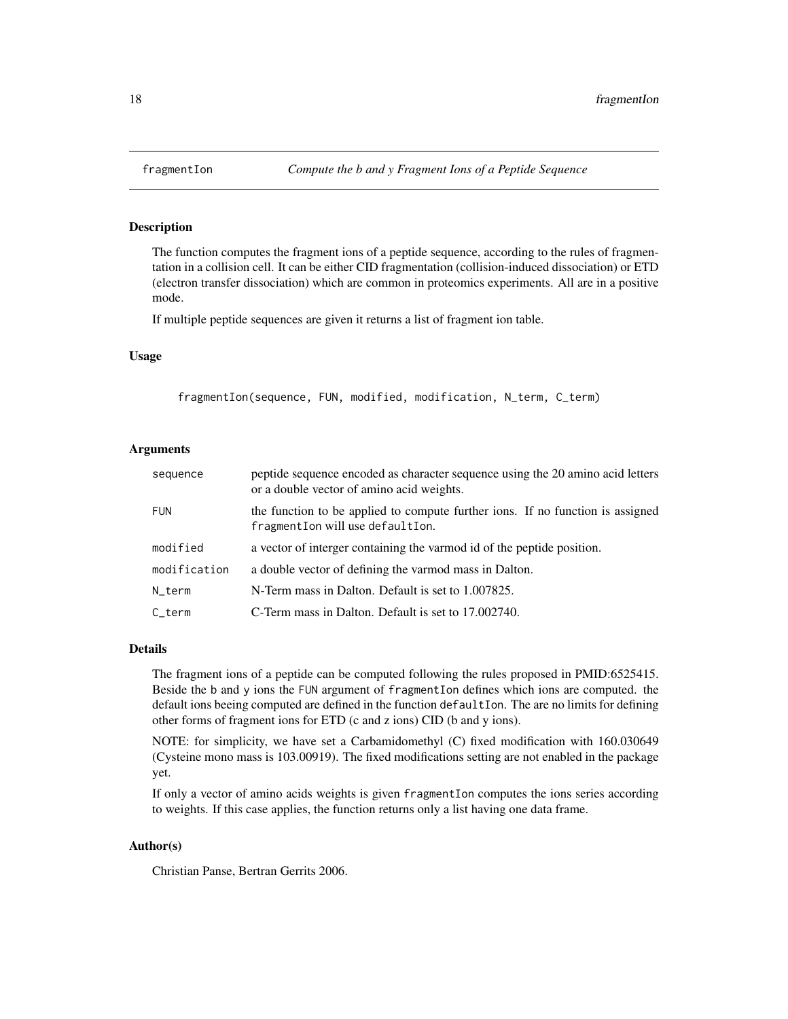#### Description

The function computes the fragment ions of a peptide sequence, according to the rules of fragmentation in a collision cell. It can be either CID fragmentation (collision-induced dissociation) or ETD (electron transfer dissociation) which are common in proteomics experiments. All are in a positive mode.

If multiple peptide sequences are given it returns a list of fragment ion table.

#### Usage

fragmentIon(sequence, FUN, modified, modification, N\_term, C\_term)

## Arguments

| sequence            | peptide sequence encoded as character sequence using the 20 amino acid letters<br>or a double vector of amino acid weights. |
|---------------------|-----------------------------------------------------------------------------------------------------------------------------|
| <b>FUN</b>          | the function to be applied to compute further ions. If no function is assigned<br>fragmentIon will use defaultIon.          |
| modified            | a vector of interger containing the varmod id of the peptide position.                                                      |
| modification        | a double vector of defining the varmod mass in Dalton.                                                                      |
| N_term              | N-Term mass in Dalton. Default is set to 1.007825.                                                                          |
| $C_{\text{-}}$ term | C-Term mass in Dalton. Default is set to 17,002740.                                                                         |

#### Details

The fragment ions of a peptide can be computed following the rules proposed in PMID:6525415. Beside the b and y ions the FUN argument of fragmentIon defines which ions are computed. the default ions beeing computed are defined in the function defaultIon. The are no limits for defining other forms of fragment ions for ETD (c and z ions) CID (b and y ions).

NOTE: for simplicity, we have set a Carbamidomethyl (C) fixed modification with 160.030649 (Cysteine mono mass is 103.00919). The fixed modifications setting are not enabled in the package yet.

If only a vector of amino acids weights is given fragmentIon computes the ions series according to weights. If this case applies, the function returns only a list having one data frame.

#### Author(s)

Christian Panse, Bertran Gerrits 2006.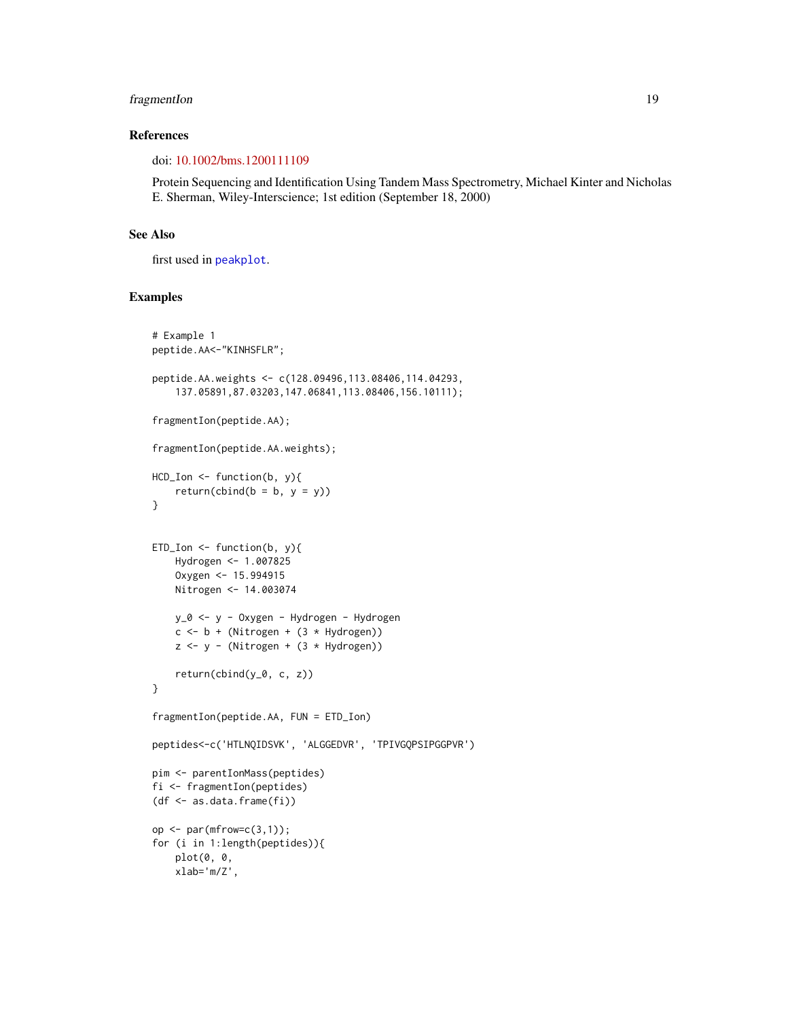## <span id="page-18-0"></span>fragmentIon 19

## References

doi: [10.1002/bms.1200111109](https://doi.org/10.1002/bms.1200111109)

Protein Sequencing and Identification Using Tandem Mass Spectrometry, Michael Kinter and Nicholas E. Sherman, Wiley-Interscience; 1st edition (September 18, 2000)

## See Also

first used in [peakplot](#page-31-1).

```
# Example 1
peptide.AA<-"KINHSFLR";
peptide.AA.weights <- c(128.09496,113.08406,114.04293,
    137.05891,87.03203,147.06841,113.08406,156.10111);
fragmentIon(peptide.AA);
fragmentIon(peptide.AA.weights);
HCD_Ion <- function(b, y){
    return(cbind(b = b, y = y))}
ETD\_Ion \leftarrow function(b, y)Hydrogen <- 1.007825
    Oxygen <- 15.994915
   Nitrogen <- 14.003074
   y_0 <- y - Oxygen - Hydrogen - Hydrogen
   c \le -b + (Nitrogen + (3 * Hydrogen))z \le -y - (Nitrogen + (3 * Hydrogen))return(cbind(y_0, c, z))
}
fragmentIon(peptide.AA, FUN = ETD_Ion)
peptides<-c('HTLNQIDSVK', 'ALGGEDVR', 'TPIVGQPSIPGGPVR')
pim <- parentIonMass(peptides)
fi <- fragmentIon(peptides)
(df <- as.data.frame(fi))
op \leq par(mfrow=c(3,1));
for (i in 1:length(peptides)){
   plot(0, 0,
   xlab='m/Z',
```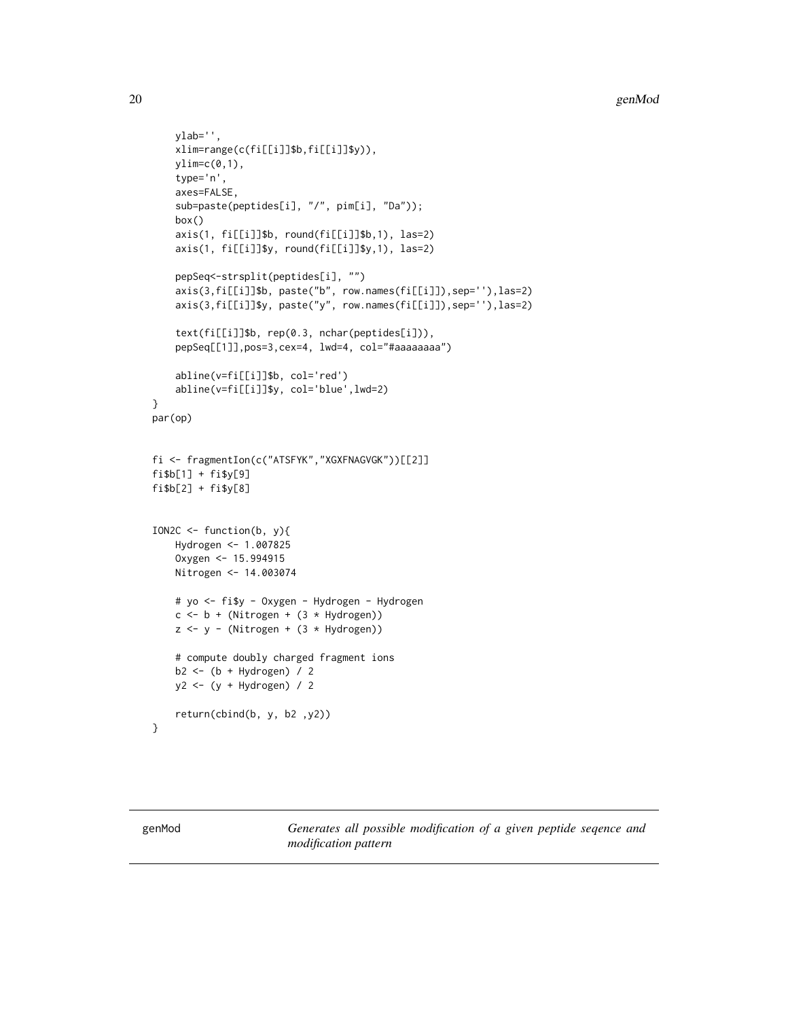```
ylab='',
    xlim=range(c(fi[[i]]$b,fi[[i]]$y)),
   ylim=c(0,1),type='n',
    axes=FALSE,
    sub=paste(peptides[i], "/", pim[i], "Da"));
    box()
    axis(1, fi[[i]]$b, round(fi[[i]]$b,1), las=2)
    axis(1, fi[[i]]$y, round(fi[[i]]$y,1), las=2)
    pepSeq<-strsplit(peptides[i], "")
    axis(3,fi[[i]]$b, paste("b", row.names(fi[[i]]),sep=''),las=2)
    axis(3,fi[[i]]$y, paste("y", row.names(fi[[i]]),sep=''),las=2)
    text(fi[[i]]$b, rep(0.3, nchar(peptides[i])),
    pepSeq[[1]],pos=3,cex=4, lwd=4, col="#aaaaaaaa")
    abline(v=fi[[i]]$b, col='red')
    abline(v=fi[[i]]$y, col='blue',lwd=2)
}
par(op)
fi <- fragmentIon(c("ATSFYK","XGXFNAGVGK"))[[2]]
fi$b[1] + fi$y[9]
fi$b[2] + fi$y[8]
ION2C \leq function(b, y){
   Hydrogen <- 1.007825
    Oxygen <- 15.994915
   Nitrogen <- 14.003074
   # yo <- fi$y - Oxygen - Hydrogen - Hydrogen
   c \le -b + (Nitrogen + (3 * Hydrogen))z \le y - (Nitrogen + (3 * Hydrogen))# compute doubly charged fragment ions
   b2 <- (b + Hydrogen) / 2
   y2 <- (y + Hydrogen) / 2
    return(cbind(b, y, b2 ,y2))
}
```
genMod *Generates all possible modification of a given peptide seqence and modification pattern*

<span id="page-19-0"></span>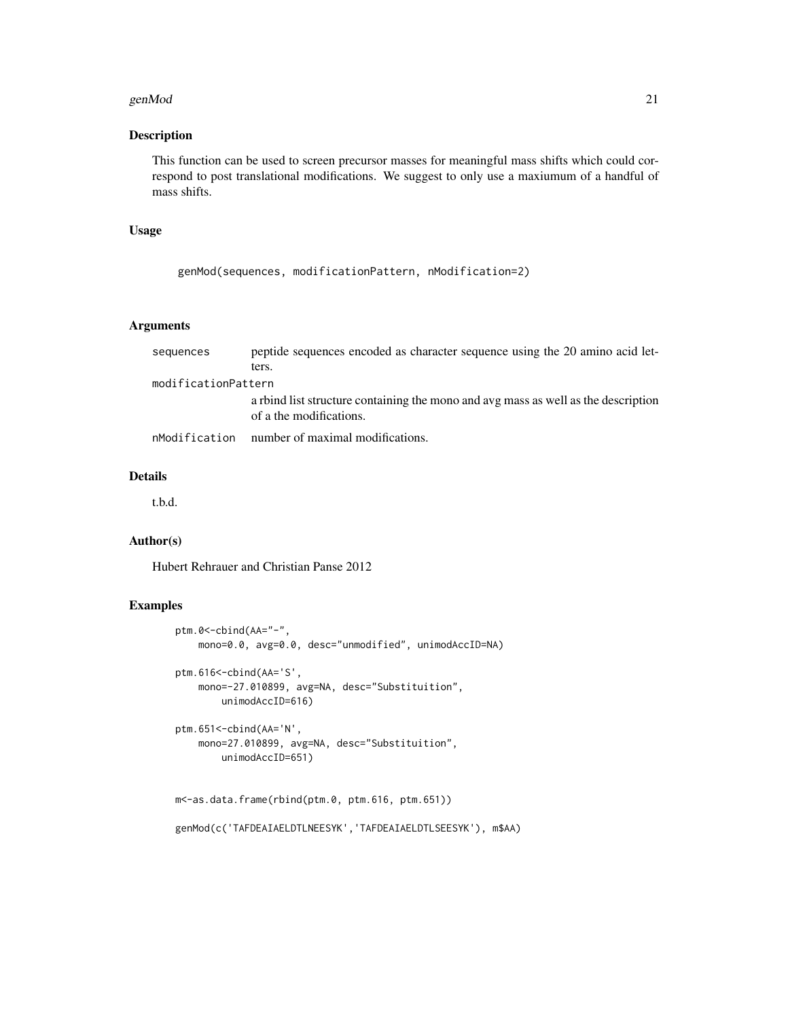#### genMod 21

## Description

This function can be used to screen precursor masses for meaningful mass shifts which could correspond to post translational modifications. We suggest to only use a maxiumum of a handful of mass shifts.

#### Usage

```
genMod(sequences, modificationPattern, nModification=2)
```
## Arguments

| sequences           | peptide sequences encoded as character sequence using the 20 amino acid let-                                  |
|---------------------|---------------------------------------------------------------------------------------------------------------|
|                     | ters.                                                                                                         |
| modificationPattern |                                                                                                               |
|                     | a rbind list structure containing the mono and avg mass as well as the description<br>of a the modifications. |
| nModification       | number of maximal modifications.                                                                              |

#### Details

t.b.d.

#### Author(s)

Hubert Rehrauer and Christian Panse 2012

```
ptm.0<-cbind(AA="-",
    mono=0.0, avg=0.0, desc="unmodified", unimodAccID=NA)
ptm.616<-cbind(AA='S',
    mono=-27.010899, avg=NA, desc="Substituition",
        unimodAccID=616)
ptm.651<-cbind(AA='N',
    mono=27.010899, avg=NA, desc="Substituition",
        unimodAccID=651)
m<-as.data.frame(rbind(ptm.0, ptm.616, ptm.651))
genMod(c('TAFDEAIAELDTLNEESYK','TAFDEAIAELDTLSEESYK'), m$AA)
```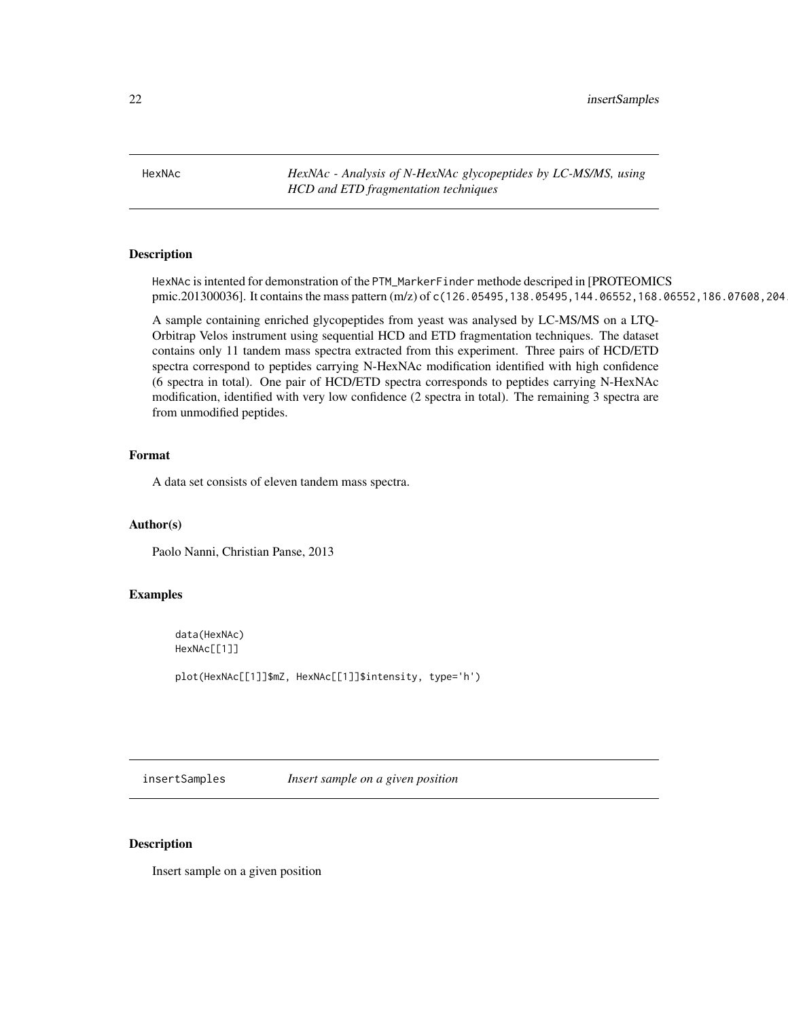<span id="page-21-0"></span>HexNAc *HexNAc - Analysis of N-HexNAc glycopeptides by LC-MS/MS, using HCD and ETD fragmentation techniques*

## Description

HexNAc is intented for demonstration of the PTM\_MarkerFinder methode descriped in [PROTEOMICS pmic.201300036]. It contains the mass pattern (m/z) of c(126.05495,138.05495,144.06552,168.06552,186.07608,204

A sample containing enriched glycopeptides from yeast was analysed by LC-MS/MS on a LTQ-Orbitrap Velos instrument using sequential HCD and ETD fragmentation techniques. The dataset contains only 11 tandem mass spectra extracted from this experiment. Three pairs of HCD/ETD spectra correspond to peptides carrying N-HexNAc modification identified with high confidence (6 spectra in total). One pair of HCD/ETD spectra corresponds to peptides carrying N-HexNAc modification, identified with very low confidence (2 spectra in total). The remaining 3 spectra are from unmodified peptides.

#### Format

A data set consists of eleven tandem mass spectra.

## Author(s)

Paolo Nanni, Christian Panse, 2013

## Examples

data(HexNAc) HexNAc[[1]]

plot(HexNAc[[1]]\$mZ, HexNAc[[1]]\$intensity, type='h')

insertSamples *Insert sample on a given position*

#### Description

Insert sample on a given position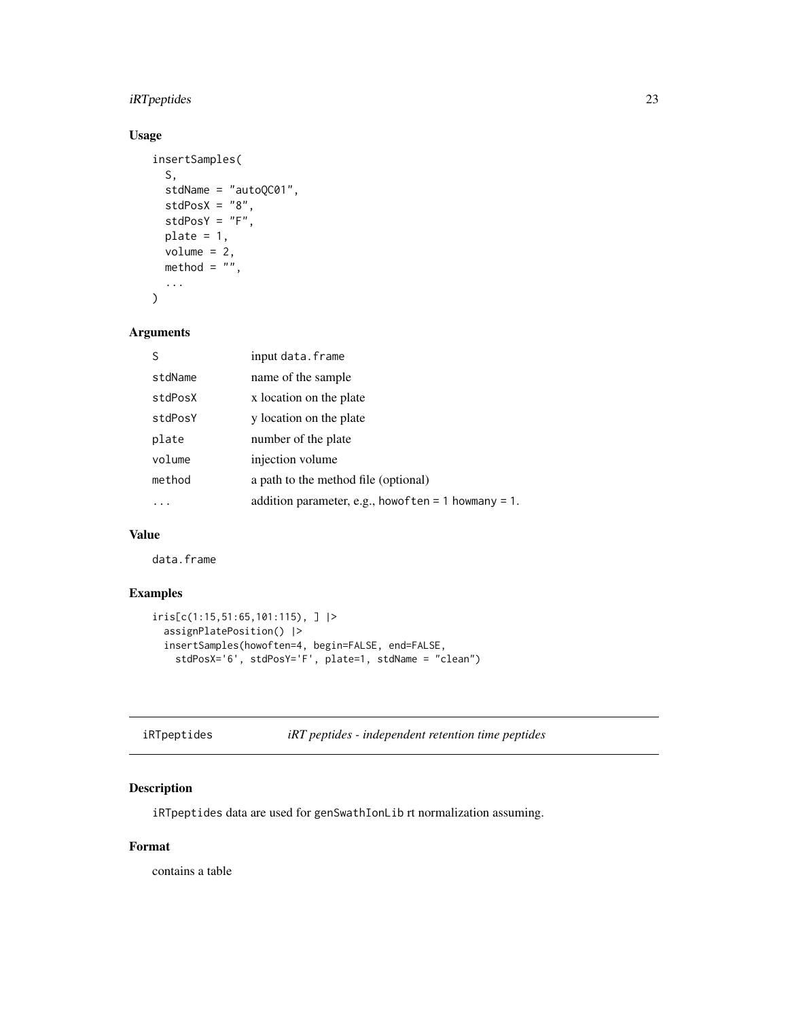## <span id="page-22-0"></span>iRTpeptides 23

## Usage

```
insertSamples(
  S,
  stdName = "autoQC01",
  stdPosX = "8",stdPosY = "F",
 plate = 1,volume = 2,
 method = ",
  ...
\mathcal{L}
```
## Arguments

| S       | input data.frame                                            |
|---------|-------------------------------------------------------------|
| stdName | name of the sample                                          |
| stdPosX | x location on the plate                                     |
| stdPosY | y location on the plate                                     |
| plate   | number of the plate                                         |
| volume  | injection volume                                            |
| method  | a path to the method file (optional)                        |
|         | addition parameter, e.g., how of ten = $1$ how many = $1$ . |

## Value

data.frame

## Examples

```
iris[c(1:15,51:65,101:115), ] |>
 assignPlatePosition() |>
 insertSamples(howoften=4, begin=FALSE, end=FALSE,
   stdPosX='6', stdPosY='F', plate=1, stdName = "clean")
```
<span id="page-22-1"></span>iRTpeptides *iRT peptides - independent retention time peptides*

## Description

iRTpeptides data are used for genSwathIonLib rt normalization assuming.

## Format

contains a table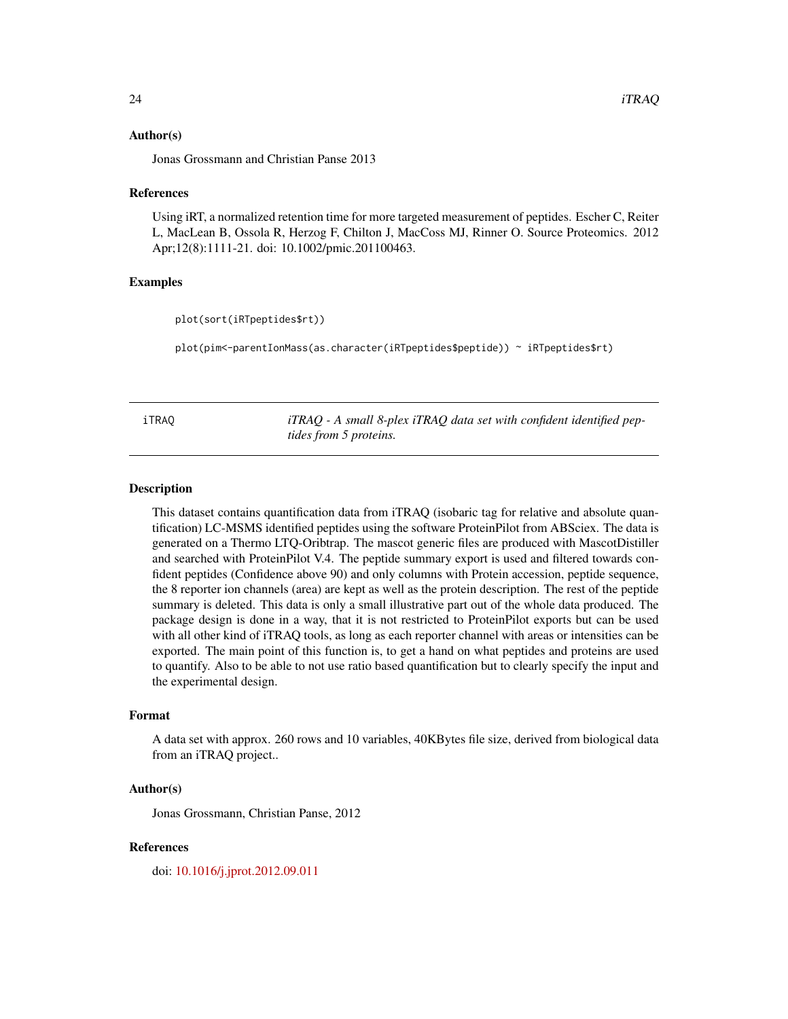#### <span id="page-23-0"></span>Author(s)

Jonas Grossmann and Christian Panse 2013

#### References

Using iRT, a normalized retention time for more targeted measurement of peptides. Escher C, Reiter L, MacLean B, Ossola R, Herzog F, Chilton J, MacCoss MJ, Rinner O. Source Proteomics. 2012 Apr;12(8):1111-21. doi: 10.1002/pmic.201100463.

## Examples

```
plot(sort(iRTpeptides$rt))
```
plot(pim<-parentIonMass(as.character(iRTpeptides\$peptide)) ~ iRTpeptides\$rt)

iTRAQ *iTRAQ - A small 8-plex iTRAQ data set with confident identified peptides from 5 proteins.*

#### Description

This dataset contains quantification data from iTRAQ (isobaric tag for relative and absolute quantification) LC-MSMS identified peptides using the software ProteinPilot from ABSciex. The data is generated on a Thermo LTQ-Oribtrap. The mascot generic files are produced with MascotDistiller and searched with ProteinPilot V.4. The peptide summary export is used and filtered towards confident peptides (Confidence above 90) and only columns with Protein accession, peptide sequence, the 8 reporter ion channels (area) are kept as well as the protein description. The rest of the peptide summary is deleted. This data is only a small illustrative part out of the whole data produced. The package design is done in a way, that it is not restricted to ProteinPilot exports but can be used with all other kind of iTRAQ tools, as long as each reporter channel with areas or intensities can be exported. The main point of this function is, to get a hand on what peptides and proteins are used to quantify. Also to be able to not use ratio based quantification but to clearly specify the input and the experimental design.

#### Format

A data set with approx. 260 rows and 10 variables, 40KBytes file size, derived from biological data from an iTRAQ project..

#### Author(s)

Jonas Grossmann, Christian Panse, 2012

#### References

doi: [10.1016/j.jprot.2012.09.011](https://doi.org/10.1016/j.jprot.2012.09.011)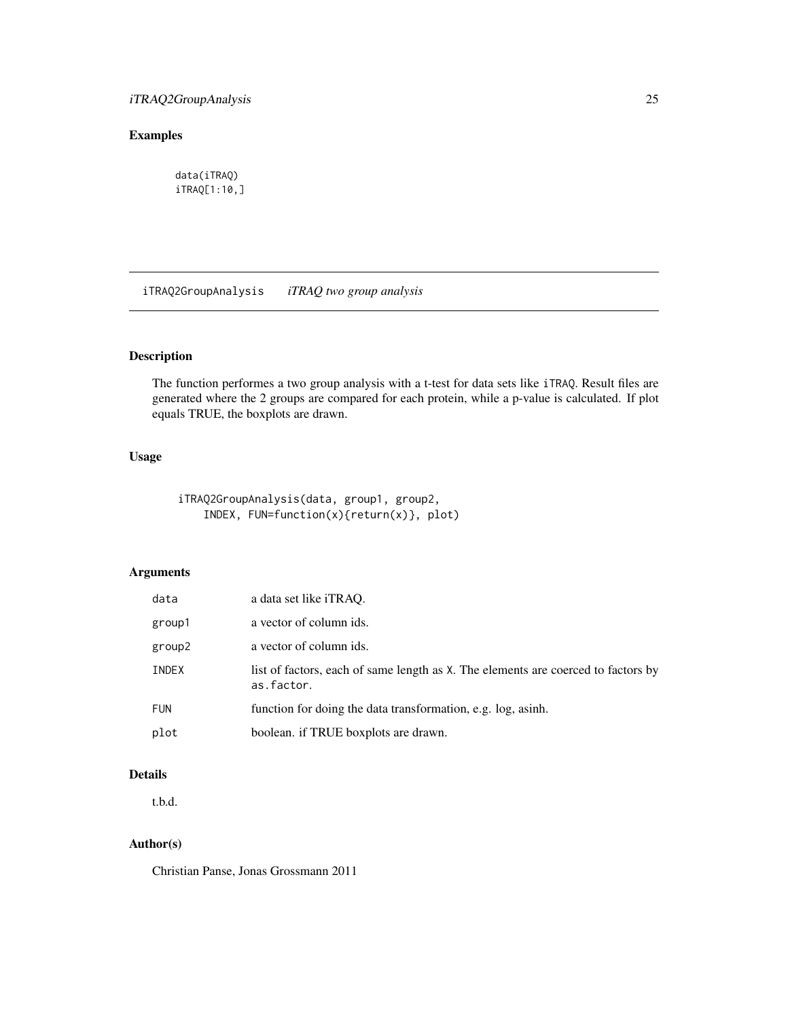## <span id="page-24-0"></span>Examples

data(iTRAQ) iTRAQ[1:10,]

iTRAQ2GroupAnalysis *iTRAQ two group analysis*

## Description

The function performes a two group analysis with a t-test for data sets like iTRAQ. Result files are generated where the 2 groups are compared for each protein, while a p-value is calculated. If plot equals TRUE, the boxplots are drawn.

## Usage

iTRAQ2GroupAnalysis(data, group1, group2, INDEX, FUN=function(x){return(x)}, plot)

## Arguments

| data       | a data set like <i>iTRAO</i> .                                                                  |
|------------|-------------------------------------------------------------------------------------------------|
| group1     | a vector of column ids.                                                                         |
| group2     | a vector of column ids.                                                                         |
| INDEX      | list of factors, each of same length as X. The elements are coerced to factors by<br>as.factor. |
| <b>FUN</b> | function for doing the data transformation, e.g. log, asinh.                                    |
| plot       | boolean. if TRUE boxplots are drawn.                                                            |

## Details

t.b.d.

## Author(s)

Christian Panse, Jonas Grossmann 2011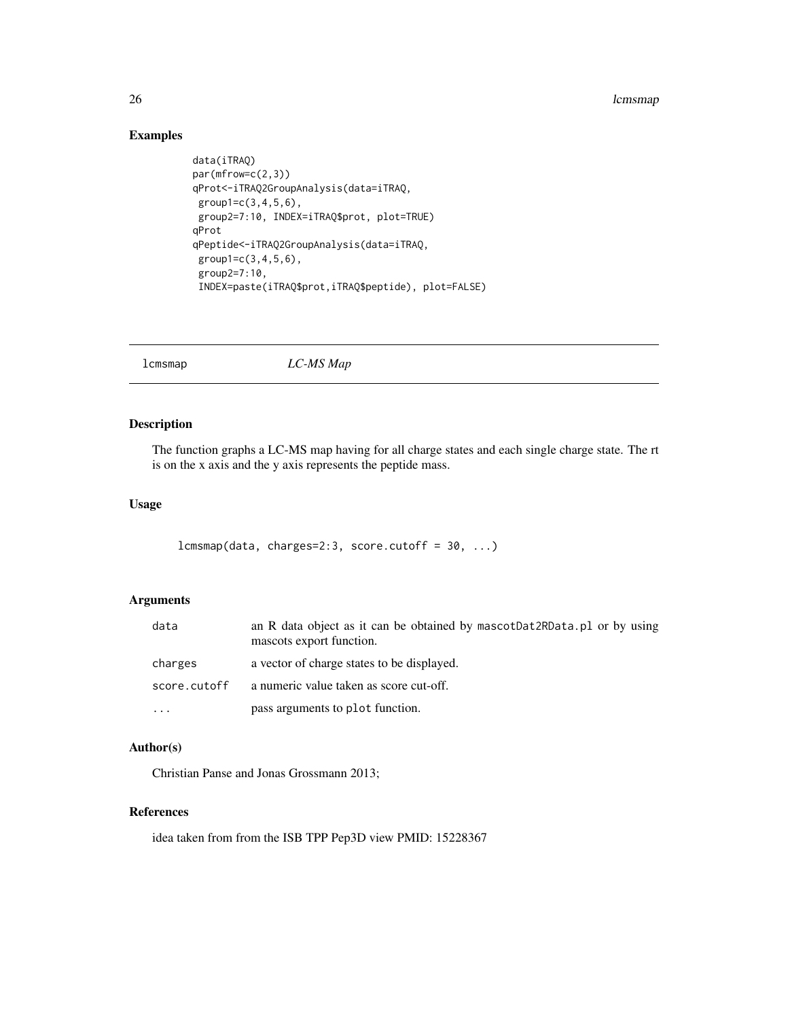#### 26 **lands** and the contract of the contract of the contract of the contract of the contract of the contract of the contract of the contract of the contract of the contract of the contract of the contract of the contract of

## Examples

```
data(iTRAQ)
par(mfrow=c(2,3))
qProt<-iTRAQ2GroupAnalysis(data=iTRAQ,
group1=c(3,4,5,6),
group2=7:10, INDEX=iTRAQ$prot, plot=TRUE)
qProt
qPeptide<-iTRAQ2GroupAnalysis(data=iTRAQ,
group1=c(3,4,5,6),
group2=7:10,
INDEX=paste(iTRAQ$prot,iTRAQ$peptide), plot=FALSE)
```
<span id="page-25-1"></span>lcmsmap *LC-MS Map*

## Description

The function graphs a LC-MS map having for all charge states and each single charge state. The rt is on the x axis and the y axis represents the peptide mass.

## Usage

```
lcmsmap(data, charges=2:3, score.cutoff = 30, ...)
```
## Arguments

| data         | an R data object as it can be obtained by mascotDat2RData.pl or by using<br>mascots export function. |
|--------------|------------------------------------------------------------------------------------------------------|
| charges      | a vector of charge states to be displayed.                                                           |
| score.cutoff | a numeric value taken as score cut-off.                                                              |
| $\ddotsc$    | pass arguments to plot function.                                                                     |

#### Author(s)

Christian Panse and Jonas Grossmann 2013;

#### References

idea taken from from the ISB TPP Pep3D view PMID: 15228367

<span id="page-25-0"></span>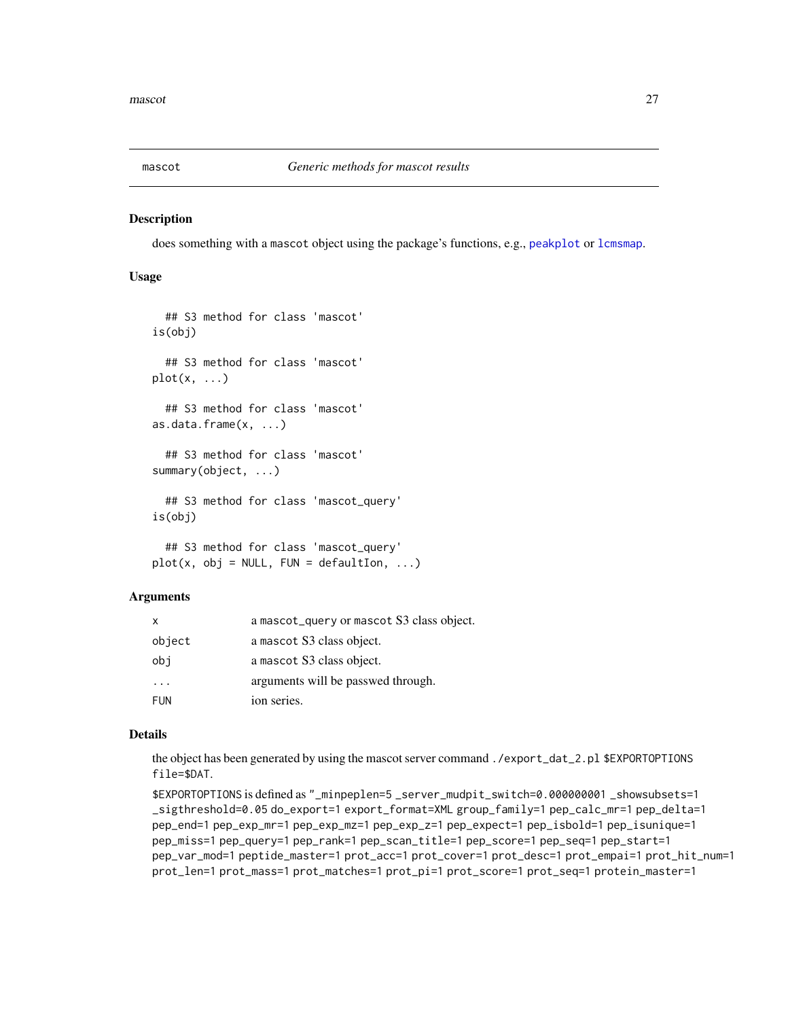<span id="page-26-2"></span><span id="page-26-0"></span>

## <span id="page-26-1"></span>**Description**

does something with a mascot object using the package's functions, e.g., [peakplot](#page-31-1) or [lcmsmap](#page-25-1).

## Usage

```
## S3 method for class 'mascot'
is(obj)
  ## S3 method for class 'mascot'
plot(x, \ldots)## S3 method for class 'mascot'
as.data.frame(x, ...)
  ## S3 method for class 'mascot'
summary(object, ...)
  ## S3 method for class 'mascot_query'
is(obj)
  ## S3 method for class 'mascot_query'
plot(x, obj = NULL, FUN = defaultIon, ...)
```
## **Arguments**

| x                       | a mascot_query or mascot S3 class object. |
|-------------------------|-------------------------------------------|
| object                  | a mascot S3 class object.                 |
| obi                     | a mascot S3 class object.                 |
| $\cdot$ $\cdot$ $\cdot$ | arguments will be passwed through.        |
| <b>FUN</b>              | ion series.                               |

#### Details

the object has been generated by using the mascot server command ./export\_dat\_2.pl \$EXPORTOPTIONS file=\$DAT.

```
$EXPORTOPTIONS is defined as "_minpeplen=5 _server_mudpit_switch=0.000000001 _showsubsets=1
_sigthreshold=0.05 do_export=1 export_format=XML group_family=1 pep_calc_mr=1 pep_delta=1
pep_end=1 pep_exp_mr=1 pep_exp_mz=1 pep_exp_z=1 pep_expect=1 pep_isbold=1 pep_isunique=1
pep_miss=1 pep_query=1 pep_rank=1 pep_scan_title=1 pep_score=1 pep_seq=1 pep_start=1
pep_var_mod=1 peptide_master=1 prot_acc=1 prot_cover=1 prot_desc=1 prot_empai=1 prot_hit_num=1
prot_len=1 prot_mass=1 prot_matches=1 prot_pi=1 prot_score=1 prot_seq=1 protein_master=1
```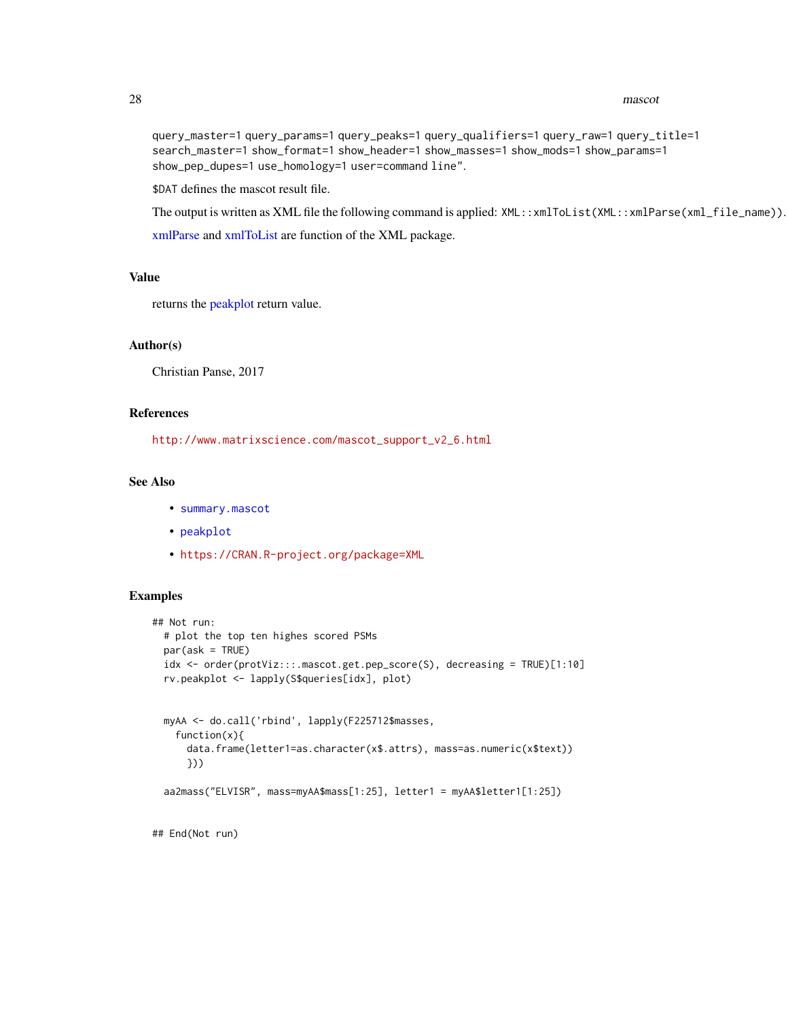#### 28 mascot and the set of the set of the set of the set of the set of the set of the set of the set of the set of the set of the set of the set of the set of the set of the set of the set of the set of the set of the set of

```
query_master=1 query_params=1 query_peaks=1 query_qualifiers=1 query_raw=1 query_title=1
search_master=1 show_format=1 show_header=1 show_masses=1 show_mods=1 show_params=1
show_pep_dupes=1 use_homology=1 user=command line".
```
\$DAT defines the mascot result file.

The output is written as XML file the following command is applied: XML::xmlToList(XML::xmlParse(xml\_file\_name)). [xmlParse](#page-0-0) and [xmlToList](#page-0-0) are function of the XML package.

## Value

returns the [peakplot](#page-31-1) return value.

#### Author(s)

Christian Panse, 2017

#### References

[http://www.matrixscience.com/mascot\\_support\\_v2\\_6.html](http://www.matrixscience.com/mascot_support_v2_6.html)

## See Also

- [summary.mascot](#page-26-1)
- [peakplot](#page-31-1)
- <https://CRAN.R-project.org/package=XML>

#### Examples

```
## Not run:
 # plot the top ten highes scored PSMs
 par(ask = TRUE)idx <- order(protViz:::.mascot.get.pep_score(S), decreasing = TRUE)[1:10]
 rv.peakplot <- lapply(S$queries[idx], plot)
 myAA <- do.call('rbind', lapply(F225712$masses,
   function(x){
     data.frame(letter1=as.character(x$.attrs), mass=as.numeric(x$text))
     }))
 aa2mass("ELVISR", mass=myAA$mass[1:25], letter1 = myAA$letter1[1:25])
```
## End(Not run)

<span id="page-27-0"></span>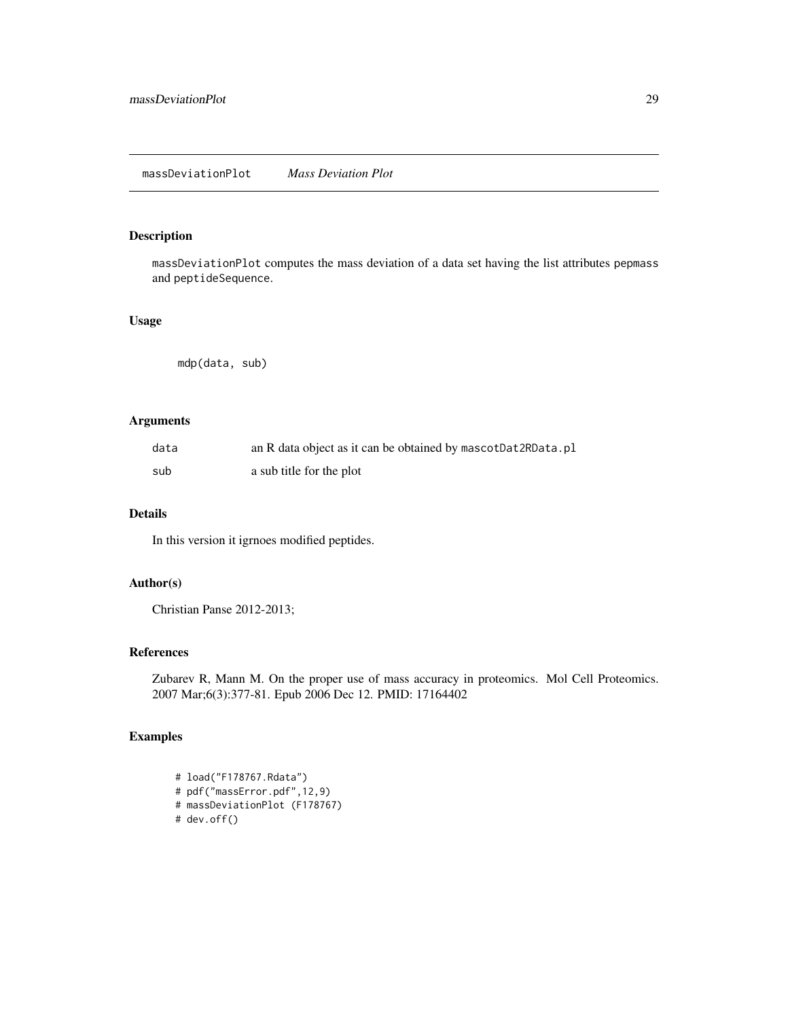## <span id="page-28-0"></span>Description

massDeviationPlot computes the mass deviation of a data set having the list attributes pepmass and peptideSequence.

## Usage

mdp(data, sub)

## Arguments

| data | an R data object as it can be obtained by mascotDat2RData.pl |
|------|--------------------------------------------------------------|
| sub  | a sub title for the plot                                     |

## Details

In this version it igrnoes modified peptides.

## Author(s)

Christian Panse 2012-2013;

#### References

Zubarev R, Mann M. On the proper use of mass accuracy in proteomics. Mol Cell Proteomics. 2007 Mar;6(3):377-81. Epub 2006 Dec 12. PMID: 17164402

```
# load("F178767.Rdata")
# pdf("massError.pdf",12,9)
# massDeviationPlot (F178767)
# dev.off()
```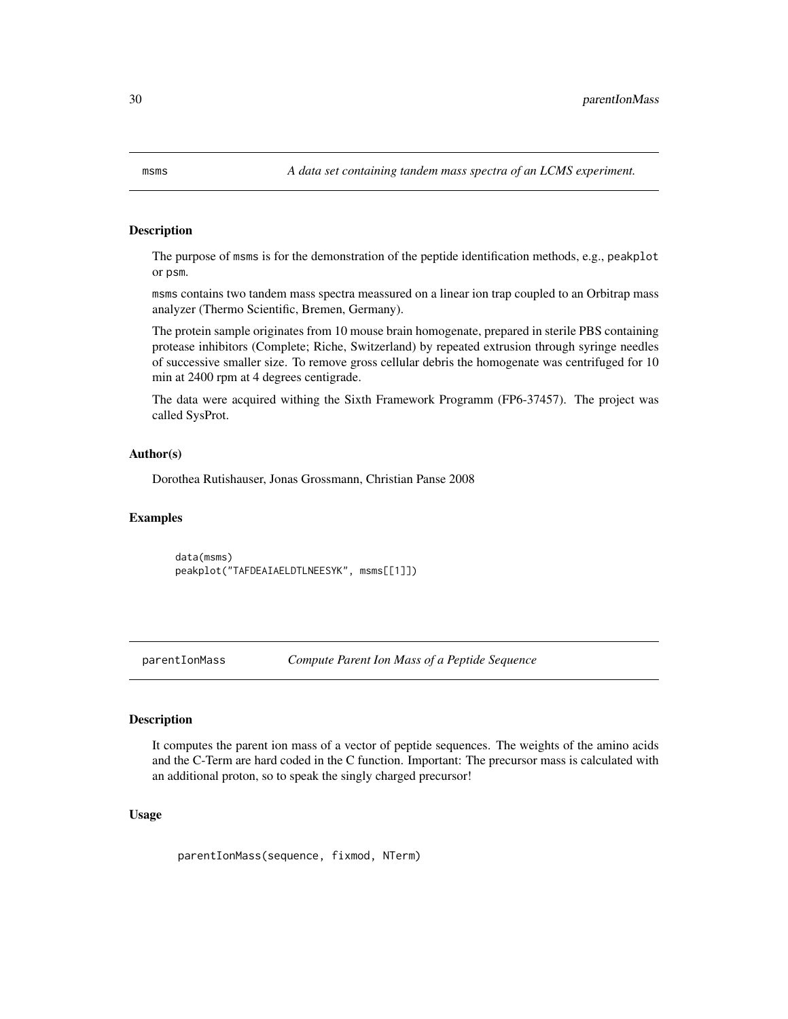<span id="page-29-0"></span>msms *A data set containing tandem mass spectra of an LCMS experiment.*

#### Description

The purpose of msms is for the demonstration of the peptide identification methods, e.g., peakplot or psm.

msms contains two tandem mass spectra meassured on a linear ion trap coupled to an Orbitrap mass analyzer (Thermo Scientific, Bremen, Germany).

The protein sample originates from 10 mouse brain homogenate, prepared in sterile PBS containing protease inhibitors (Complete; Riche, Switzerland) by repeated extrusion through syringe needles of successive smaller size. To remove gross cellular debris the homogenate was centrifuged for 10 min at 2400 rpm at 4 degrees centigrade.

The data were acquired withing the Sixth Framework Programm (FP6-37457). The project was called SysProt.

#### Author(s)

Dorothea Rutishauser, Jonas Grossmann, Christian Panse 2008

#### Examples

data(msms) peakplot("TAFDEAIAELDTLNEESYK", msms[[1]])

parentIonMass *Compute Parent Ion Mass of a Peptide Sequence*

#### Description

It computes the parent ion mass of a vector of peptide sequences. The weights of the amino acids and the C-Term are hard coded in the C function. Important: The precursor mass is calculated with an additional proton, so to speak the singly charged precursor!

#### Usage

parentIonMass(sequence, fixmod, NTerm)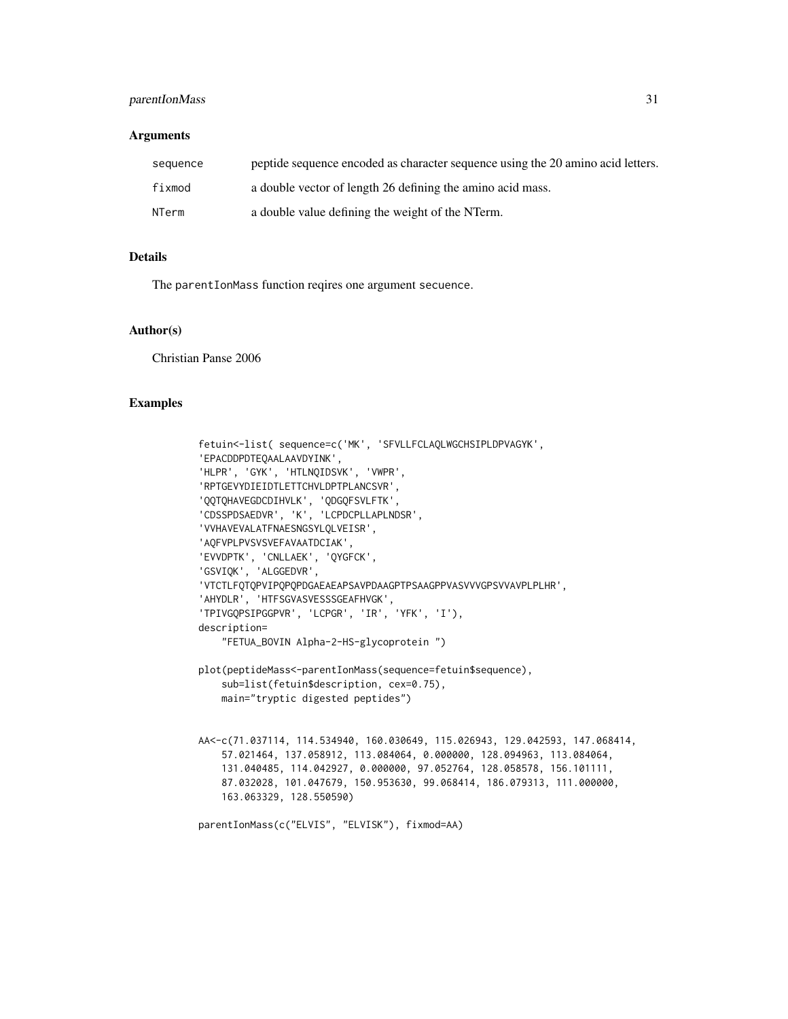## parentIonMass 31

#### **Arguments**

| sequence | peptide sequence encoded as character sequence using the 20 amino acid letters. |
|----------|---------------------------------------------------------------------------------|
| fixmod   | a double vector of length 26 defining the amino acid mass.                      |
| NTerm    | a double value defining the weight of the NTerm.                                |

## Details

The parentIonMass function reqires one argument secuence.

#### Author(s)

Christian Panse 2006

```
fetuin<-list( sequence=c('MK', 'SFVLLFCLAQLWGCHSIPLDPVAGYK',
'EPACDDPDTEQAALAAVDYINK',
'HLPR', 'GYK', 'HTLNQIDSVK', 'VWPR',
'RPTGEVYDIEIDTLETTCHVLDPTPLANCSVR',
'QQTQHAVEGDCDIHVLK', 'QDGQFSVLFTK',
'CDSSPDSAEDVR', 'K', 'LCPDCPLLAPLNDSR',
'VVHAVEVALATFNAESNGSYLQLVEISR',
'AQFVPLPVSVSVEFAVAATDCIAK',
'EVVDPTK', 'CNLLAEK', 'QYGFCK',
'GSVIQK', 'ALGGEDVR',
'VTCTLFQTQPVIPQPQPDGAEAEAPSAVPDAAGPTPSAAGPPVASVVVGPSVVAVPLPLHR',
'AHYDLR', 'HTFSGVASVESSSGEAFHVGK',
'TPIVGQPSIPGGPVR', 'LCPGR', 'IR', 'YFK', 'I'),
description=
    "FETUA_BOVIN Alpha-2-HS-glycoprotein ")
plot(peptideMass<-parentIonMass(sequence=fetuin$sequence),
    sub=list(fetuin$description, cex=0.75),
    main="tryptic digested peptides")
AA<-c(71.037114, 114.534940, 160.030649, 115.026943, 129.042593, 147.068414,
    57.021464, 137.058912, 113.084064, 0.000000, 128.094963, 113.084064,
    131.040485, 114.042927, 0.000000, 97.052764, 128.058578, 156.101111,
    87.032028, 101.047679, 150.953630, 99.068414, 186.079313, 111.000000,
    163.063329, 128.550590)
parentIonMass(c("ELVIS", "ELVISK"), fixmod=AA)
```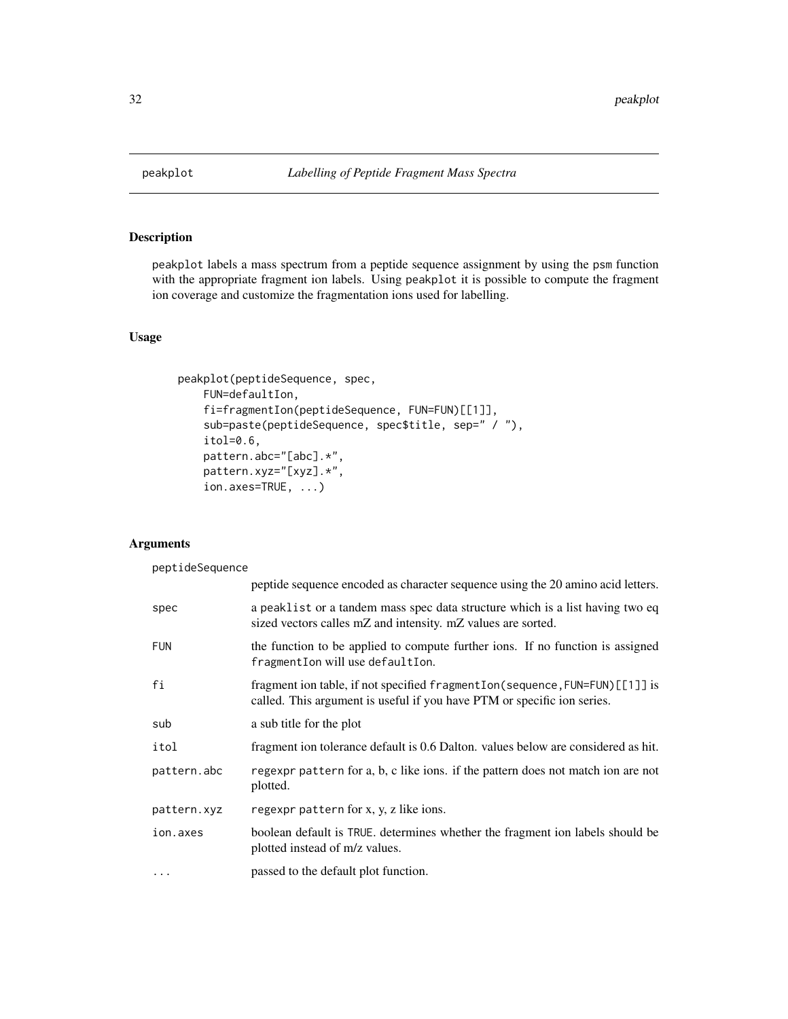<span id="page-31-1"></span><span id="page-31-0"></span>

#### **Description**

peakplot labels a mass spectrum from a peptide sequence assignment by using the psm function with the appropriate fragment ion labels. Using peakplot it is possible to compute the fragment ion coverage and customize the fragmentation ions used for labelling.

#### Usage

```
peakplot(peptideSequence, spec,
    FUN=defaultIon,
    fi=fragmentIon(peptideSequence, FUN=FUN)[[1]],
    sub=paste(peptideSequence, spec$title, sep=" / "),
    itol=0.6,
    pattern.abc="[abc].*",
    pattern.xyz="[xyz].*",
    ion.axes=TRUE, ...)
```
## Arguments

peptideSequence peptide sequence encoded as character sequence using the 20 amino acid letters. spec a peaklist or a tandem mass spec data structure which is a list having two eq sized vectors calles mZ and intensity. mZ values are sorted. FUN the function to be applied to compute further ions. If no function is assigned fragmentIon will use defaultIon. fi fragment ion table, if not specified fragmentIon(sequence,FUN=FUN)[[1]] is called. This argument is useful if you have PTM or specific ion series. sub a sub title for the plot itol fragment ion tolerance default is 0.6 Dalton. values below are considered as hit. pattern.abc regexpr pattern for a, b, c like ions. if the pattern does not match ion are not plotted. pattern.xyz regexpr pattern for x, y, z like ions. ion.axes boolean default is TRUE. determines whether the fragment ion labels should be plotted instead of m/z values. ... passed to the default plot function.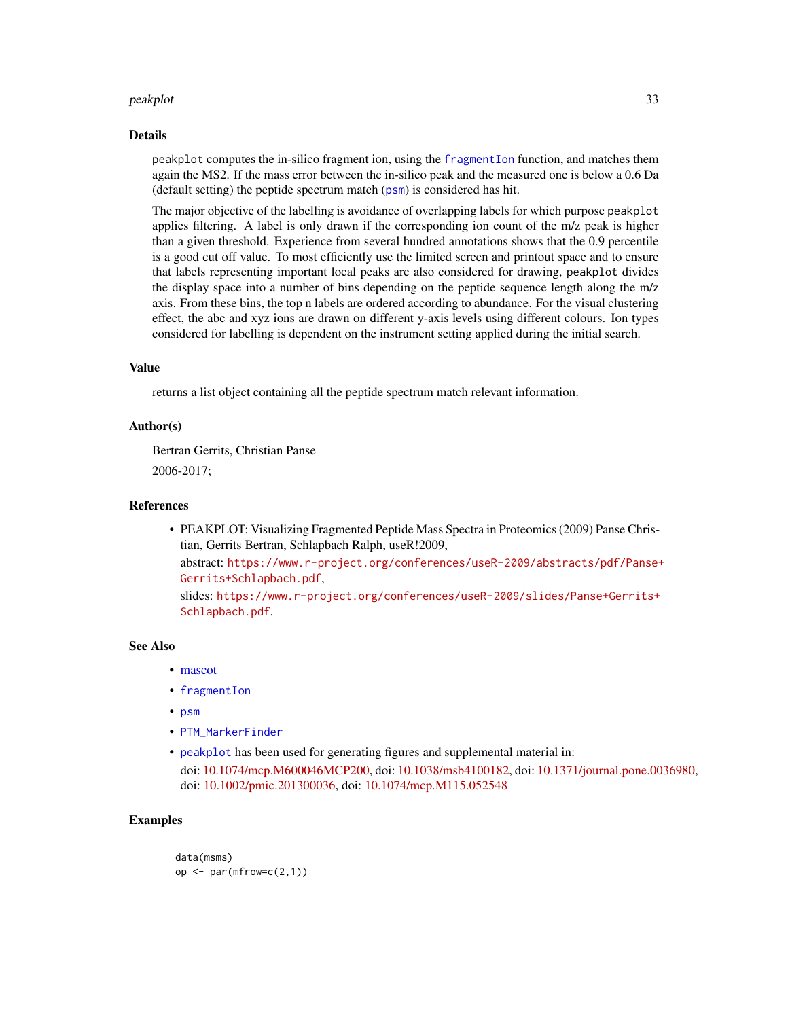#### <span id="page-32-0"></span>peakplot 33

#### Details

peakplot computes the in-silico fragment ion, using the [fragmentIon](#page-17-1) function, and matches them again the MS2. If the mass error between the in-silico peak and the measured one is below a 0.6 Da (default setting) the peptide spectrum match ([psm](#page-42-1)) is considered has hit.

The major objective of the labelling is avoidance of overlapping labels for which purpose peakplot applies filtering. A label is only drawn if the corresponding ion count of the m/z peak is higher than a given threshold. Experience from several hundred annotations shows that the 0.9 percentile is a good cut off value. To most efficiently use the limited screen and printout space and to ensure that labels representing important local peaks are also considered for drawing, peakplot divides the display space into a number of bins depending on the peptide sequence length along the m/z axis. From these bins, the top n labels are ordered according to abundance. For the visual clustering effect, the abc and xyz ions are drawn on different y-axis levels using different colours. Ion types considered for labelling is dependent on the instrument setting applied during the initial search.

## Value

returns a list object containing all the peptide spectrum match relevant information.

#### Author(s)

Bertran Gerrits, Christian Panse 2006-2017;

#### References

• PEAKPLOT: Visualizing Fragmented Peptide Mass Spectra in Proteomics (2009) Panse Christian, Gerrits Bertran, Schlapbach Ralph, useR!2009,

abstract: [https://www.r-project.org/conferences/useR-2009/abstracts/pdf/Panse+](https://www.r-project.org/conferences/useR-2009/abstracts/pdf/Panse+Gerrits+Schlapbach.pdf) [Gerrits+Schlapbach.pdf](https://www.r-project.org/conferences/useR-2009/abstracts/pdf/Panse+Gerrits+Schlapbach.pdf),

slides: [https://www.r-project.org/conferences/useR-2009/slides/Panse+Gerrits+](https://www.r-project.org/conferences/useR-2009/slides/Panse+Gerrits+Schlapbach.pdf) [Schlapbach.pdf](https://www.r-project.org/conferences/useR-2009/slides/Panse+Gerrits+Schlapbach.pdf).

#### See Also

- [mascot](#page-26-2)
- [fragmentIon](#page-17-1)
- [psm](#page-42-1)
- [PTM\\_MarkerFinder](#page-43-1)
- [peakplot](#page-31-1) has been used for generating figures and supplemental material in: doi: [10.1074/mcp.M600046MCP200,](https://doi.org/10.1074/mcp.M600046-MCP200) doi: [10.1038/msb4100182,](https://doi.org/10.1038/msb4100182) doi: [10.1371/journal.pone.0036980,](https://doi.org/10.1371/journal.pone.0036980) doi: [10.1002/pmic.201300036,](https://doi.org/10.1002/pmic.201300036) doi: [10.1074/mcp.M115.052548](https://doi.org/10.1074/mcp.M115.052548)

```
data(msms)
op \leq par(mfrow=c(2,1))
```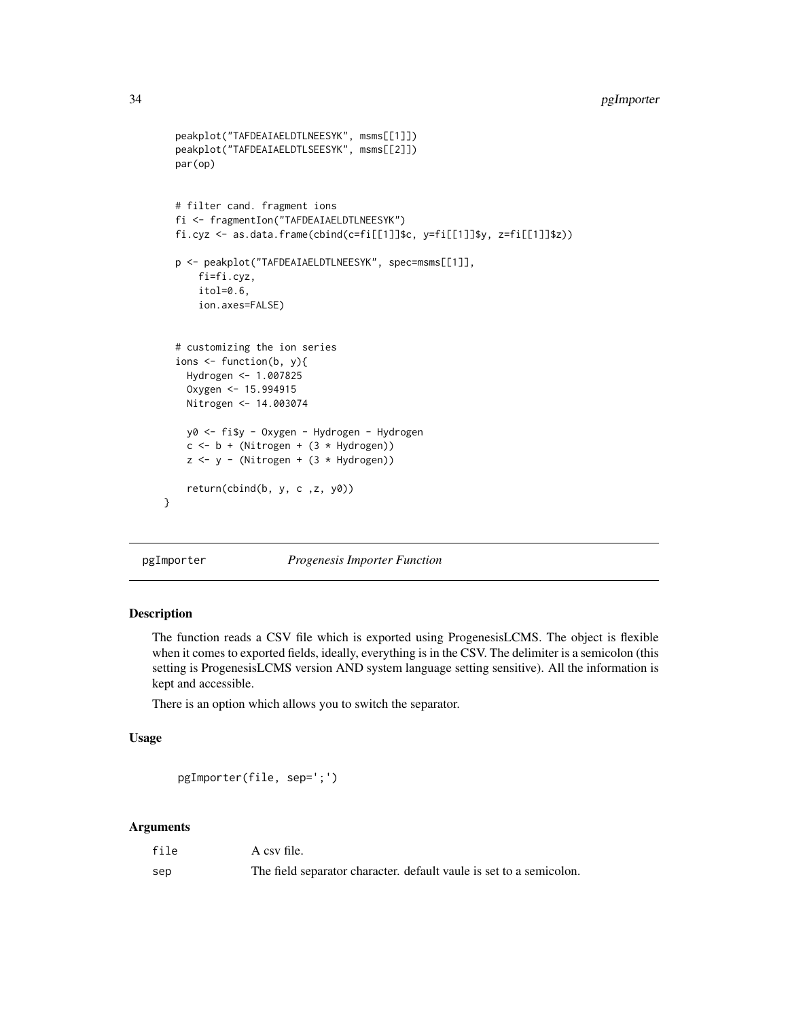## <span id="page-33-0"></span>34 pgImporter

```
peakplot("TAFDEAIAELDTLNEESYK", msms[[1]])
  peakplot("TAFDEAIAELDTLSEESYK", msms[[2]])
  par(op)
  # filter cand. fragment ions
  fi <- fragmentIon("TAFDEAIAELDTLNEESYK")
  fi.cyz <- as.data.frame(cbind(c=fi[[1]]$c, y=fi[[1]]$y, z=fi[[1]]$z))
  p <- peakplot("TAFDEAIAELDTLNEESYK", spec=msms[[1]],
      fi=fi.cyz,
      itol=0.6,
      ion.axes=FALSE)
  # customizing the ion series
  ions <- function(b, y){
    Hydrogen <- 1.007825
    Oxygen <- 15.994915
    Nitrogen <- 14.003074
    y0 <- fi$y - Oxygen - Hydrogen - Hydrogen
    c \le -b + (Nitrogen + (3 * Hydrogen))z \le -y - (Nitrogen + (3 * Hydrogen))return(cbind(b, y, c ,z, y0))
}
```
pgImporter *Progenesis Importer Function*

#### Description

The function reads a CSV file which is exported using ProgenesisLCMS. The object is flexible when it comes to exported fields, ideally, everything is in the CSV. The delimiter is a semicolon (this setting is ProgenesisLCMS version AND system language setting sensitive). All the information is kept and accessible.

There is an option which allows you to switch the separator.

## Usage

```
pgImporter(file, sep=';')
```
## Arguments

| file | A csy file.                                                         |
|------|---------------------------------------------------------------------|
| sep  | The field separator character, default vaule is set to a semicolon. |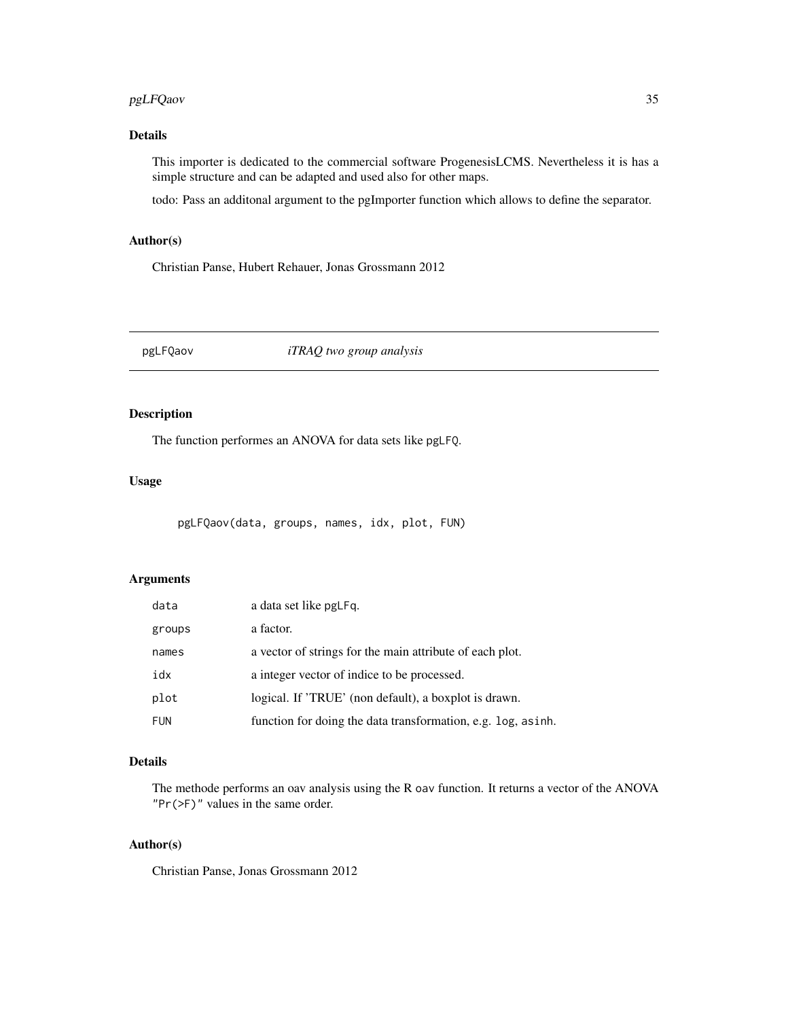## <span id="page-34-0"></span>pgLFQaov 35

## Details

This importer is dedicated to the commercial software ProgenesisLCMS. Nevertheless it is has a simple structure and can be adapted and used also for other maps.

todo: Pass an additonal argument to the pgImporter function which allows to define the separator.

## Author(s)

Christian Panse, Hubert Rehauer, Jonas Grossmann 2012

pgLFQaov *iTRAQ two group analysis*

## Description

The function performes an ANOVA for data sets like pgLFQ.

## Usage

pgLFQaov(data, groups, names, idx, plot, FUN)

## Arguments

| data       | a data set like pgLFq.                                        |
|------------|---------------------------------------------------------------|
| groups     | a factor.                                                     |
| names      | a vector of strings for the main attribute of each plot.      |
| idx        | a integer vector of indice to be processed.                   |
| plot       | logical. If 'TRUE' (non default), a boxplot is drawn.         |
| <b>FUN</b> | function for doing the data transformation, e.g. log, as inh. |

## Details

The methode performs an oav analysis using the R oav function. It returns a vector of the ANOVA "Pr(>F)" values in the same order.

#### Author(s)

Christian Panse, Jonas Grossmann 2012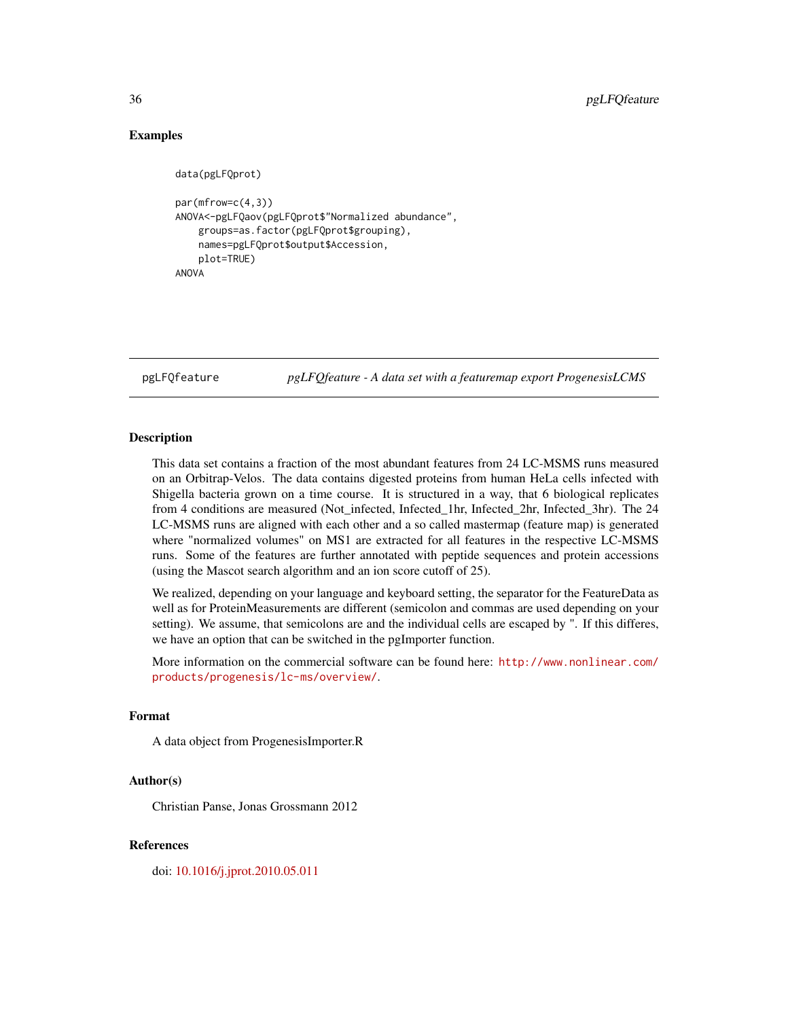## Examples

```
data(pgLFQprot)
par(mfrow=c(4,3))
ANOVA<-pgLFQaov(pgLFQprot$"Normalized abundance",
    groups=as.factor(pgLFQprot$grouping),
    names=pgLFQprot$output$Accession,
    plot=TRUE)
ANOVA
```
pgLFQfeature *pgLFQfeature - A data set with a featuremap export ProgenesisLCMS*

#### Description

This data set contains a fraction of the most abundant features from 24 LC-MSMS runs measured on an Orbitrap-Velos. The data contains digested proteins from human HeLa cells infected with Shigella bacteria grown on a time course. It is structured in a way, that 6 biological replicates from 4 conditions are measured (Not\_infected, Infected\_1hr, Infected\_2hr, Infected\_3hr). The 24 LC-MSMS runs are aligned with each other and a so called mastermap (feature map) is generated where "normalized volumes" on MS1 are extracted for all features in the respective LC-MSMS runs. Some of the features are further annotated with peptide sequences and protein accessions (using the Mascot search algorithm and an ion score cutoff of 25).

We realized, depending on your language and keyboard setting, the separator for the FeatureData as well as for ProteinMeasurements are different (semicolon and commas are used depending on your setting). We assume, that semicolons are and the individual cells are escaped by ". If this differes, we have an option that can be switched in the pgImporter function.

More information on the commercial software can be found here: [http://www.nonlinear.com/](http://www.nonlinear.com/products/progenesis/lc-ms/overview/) [products/progenesis/lc-ms/overview/](http://www.nonlinear.com/products/progenesis/lc-ms/overview/).

## Format

A data object from ProgenesisImporter.R

#### Author(s)

Christian Panse, Jonas Grossmann 2012

#### References

doi: [10.1016/j.jprot.2010.05.011](https://doi.org/10.1016/j.jprot.2010.05.011)

<span id="page-35-0"></span>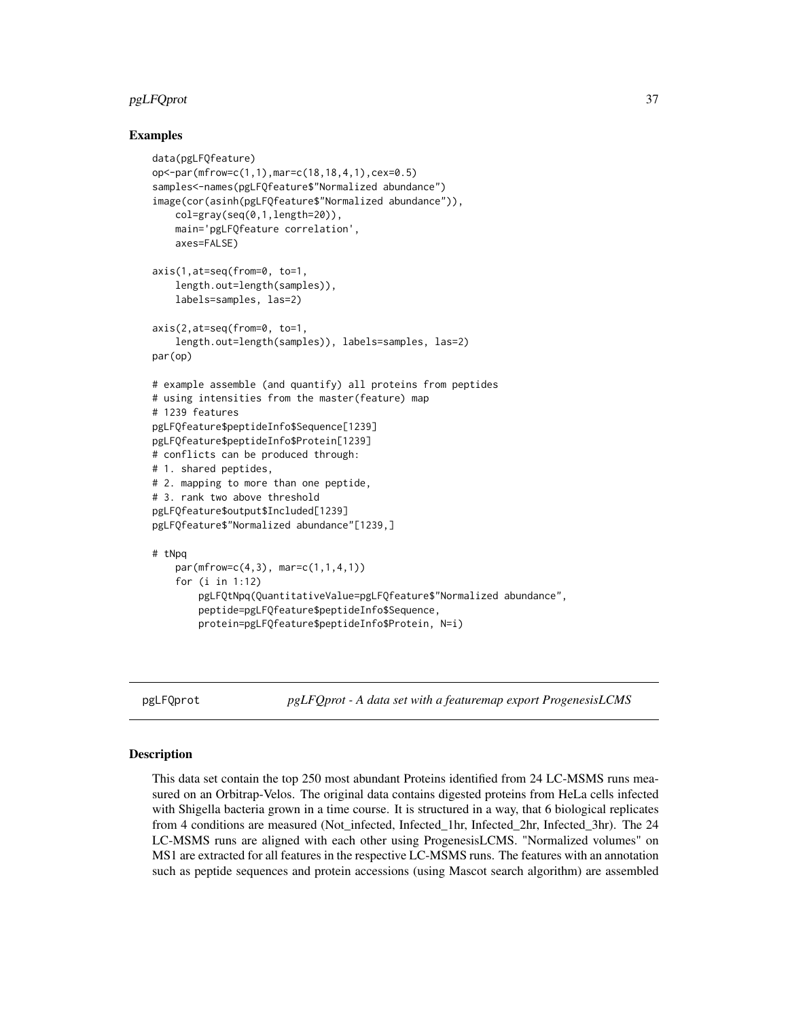## <span id="page-36-0"></span>pgLFQprot 37

#### Examples

```
data(pgLFQfeature)
op<-par(mfrow=c(1,1),mar=c(18,18,4,1),cex=0.5)
samples<-names(pgLFQfeature$"Normalized abundance")
image(cor(asinh(pgLFQfeature$"Normalized abundance")),
    col=gray(seq(0,1,length=20)),
    main='pgLFQfeature correlation',
    axes=FALSE)
axis(1,at=seq(from=0, to=1,
    length.out=length(samples)),
    labels=samples, las=2)
axis(2,at=seq(from=0, to=1,
    length.out=length(samples)), labels=samples, las=2)
par(op)
# example assemble (and quantify) all proteins from peptides
# using intensities from the master(feature) map
# 1239 features
pgLFQfeature$peptideInfo$Sequence[1239]
pgLFQfeature$peptideInfo$Protein[1239]
# conflicts can be produced through:
# 1. shared peptides,
# 2. mapping to more than one peptide,
# 3. rank two above threshold
pgLFQfeature$output$Included[1239]
pgLFQfeature$"Normalized abundance"[1239,]
# tNpq
   par(mfrow=c(4,3), mar=c(1,1,4,1))
    for (i in 1:12)
        pgLFQtNpq(QuantitativeValue=pgLFQfeature$"Normalized abundance",
        peptide=pgLFQfeature$peptideInfo$Sequence,
        protein=pgLFQfeature$peptideInfo$Protein, N=i)
```
pgLFQprot *pgLFQprot - A data set with a featuremap export ProgenesisLCMS*

#### **Description**

This data set contain the top 250 most abundant Proteins identified from 24 LC-MSMS runs measured on an Orbitrap-Velos. The original data contains digested proteins from HeLa cells infected with Shigella bacteria grown in a time course. It is structured in a way, that 6 biological replicates from 4 conditions are measured (Not infected, Infected 1hr, Infected 2hr, Infected 3hr). The 24 LC-MSMS runs are aligned with each other using ProgenesisLCMS. "Normalized volumes" on MS1 are extracted for all features in the respective LC-MSMS runs. The features with an annotation such as peptide sequences and protein accessions (using Mascot search algorithm) are assembled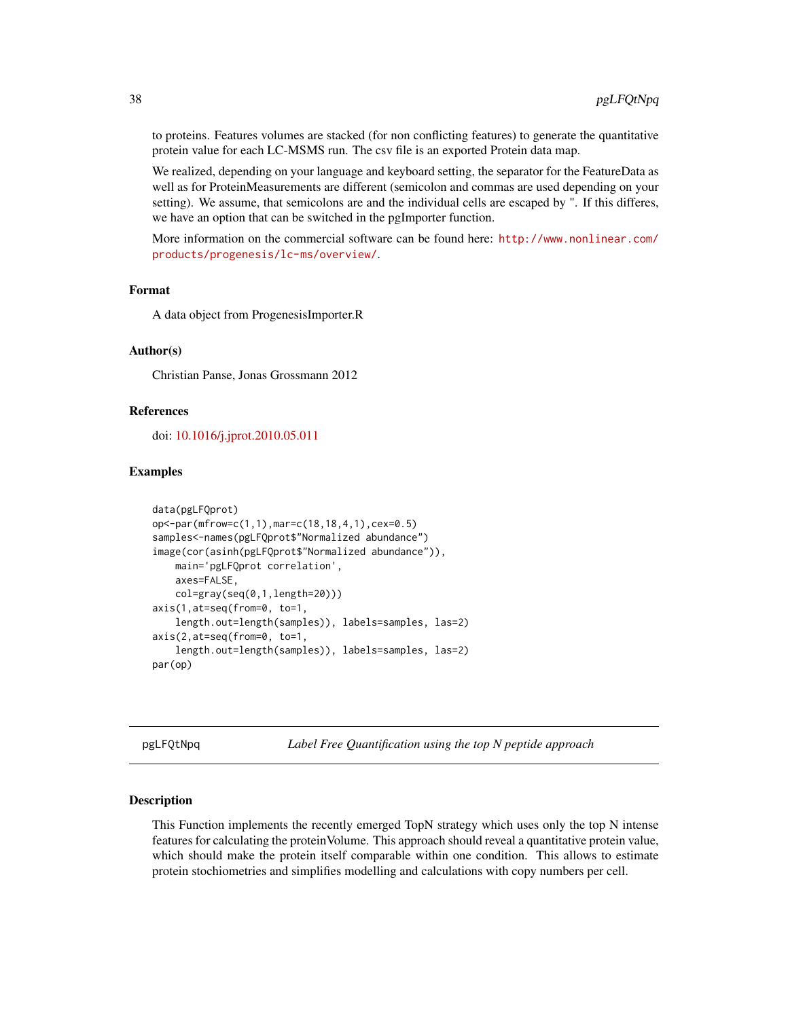to proteins. Features volumes are stacked (for non conflicting features) to generate the quantitative protein value for each LC-MSMS run. The csv file is an exported Protein data map.

We realized, depending on your language and keyboard setting, the separator for the FeatureData as well as for ProteinMeasurements are different (semicolon and commas are used depending on your setting). We assume, that semicolons are and the individual cells are escaped by ". If this differes, we have an option that can be switched in the pgImporter function.

More information on the commercial software can be found here: [http://www.nonlinear.com/](http://www.nonlinear.com/products/progenesis/lc-ms/overview/) [products/progenesis/lc-ms/overview/](http://www.nonlinear.com/products/progenesis/lc-ms/overview/).

## Format

A data object from ProgenesisImporter.R

#### Author(s)

Christian Panse, Jonas Grossmann 2012

#### References

doi: [10.1016/j.jprot.2010.05.011](https://doi.org/10.1016/j.jprot.2010.05.011)

#### Examples

```
data(pgLFQprot)
op<-par(mfrow=c(1,1),mar=c(18,18,4,1),cex=0.5)
samples<-names(pgLFQprot$"Normalized abundance")
image(cor(asinh(pgLFQprot$"Normalized abundance")),
    main='pgLFQprot correlation',
    axes=FALSE,
    col=gray(seq(0,1,length=20)))
axis(1,at=seq(from=0, to=1,
    length.out=length(samples)), labels=samples, las=2)
axis(2,at=seq(from=0, to=1,
    length.out=length(samples)), labels=samples, las=2)
par(op)
```
pgLFQtNpq *Label Free Quantification using the top N peptide approach*

#### Description

This Function implements the recently emerged TopN strategy which uses only the top N intense features for calculating the proteinVolume. This approach should reveal a quantitative protein value, which should make the protein itself comparable within one condition. This allows to estimate protein stochiometries and simplifies modelling and calculations with copy numbers per cell.

<span id="page-37-0"></span>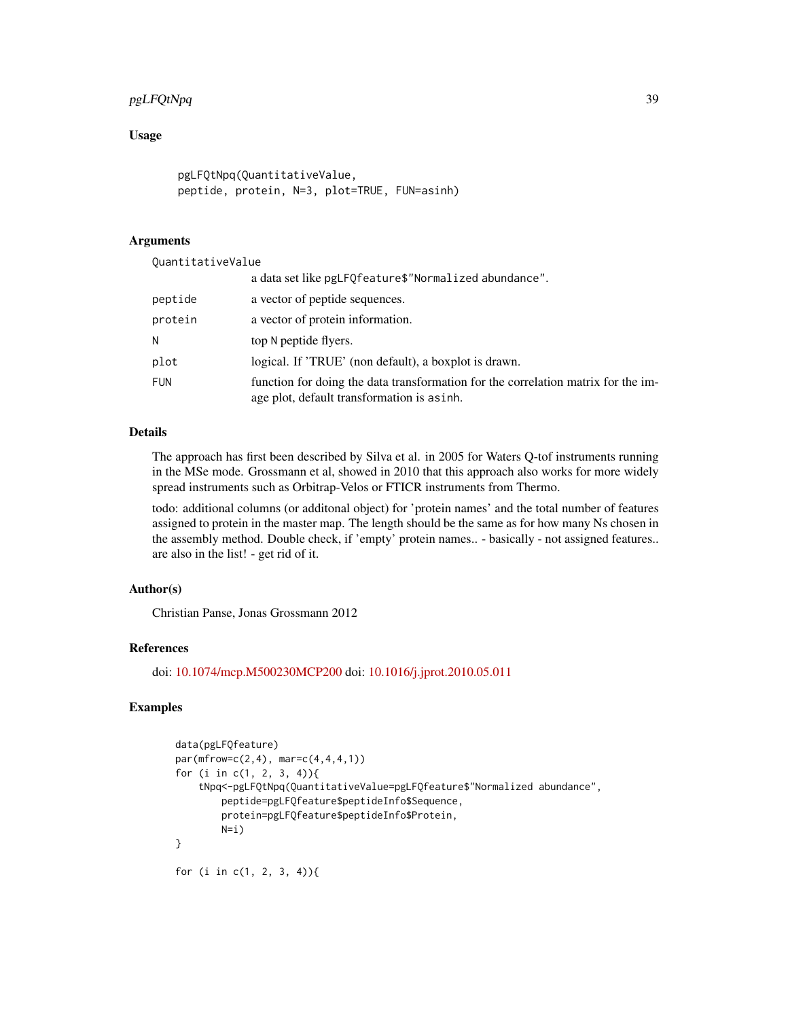## pgLFQtNpq 39

## Usage

```
pgLFQtNpq(QuantitativeValue,
peptide, protein, N=3, plot=TRUE, FUN=asinh)
```
#### Arguments

QuantitativeValue

|            | a data set like pgLFQfeature\$"Normalized abundance".                                                                            |
|------------|----------------------------------------------------------------------------------------------------------------------------------|
| peptide    | a vector of peptide sequences.                                                                                                   |
| protein    | a vector of protein information.                                                                                                 |
|            | top N peptide flyers.                                                                                                            |
| plot       | logical. If 'TRUE' (non default), a boxplot is drawn.                                                                            |
| <b>FUN</b> | function for doing the data transformation for the correlation matrix for the im-<br>age plot, default transformation is as inh. |

## Details

The approach has first been described by Silva et al. in 2005 for Waters Q-tof instruments running in the MSe mode. Grossmann et al, showed in 2010 that this approach also works for more widely spread instruments such as Orbitrap-Velos or FTICR instruments from Thermo.

todo: additional columns (or additonal object) for 'protein names' and the total number of features assigned to protein in the master map. The length should be the same as for how many Ns chosen in the assembly method. Double check, if 'empty' protein names.. - basically - not assigned features.. are also in the list! - get rid of it.

### Author(s)

Christian Panse, Jonas Grossmann 2012

#### References

doi: [10.1074/mcp.M500230MCP200](https://doi.org/10.1074/mcp.M500230-MCP200) doi: [10.1016/j.jprot.2010.05.011](https://doi.org/10.1016/j.jprot.2010.05.011)

```
data(pgLFQfeature)
par(mfrow=c(2,4), mar=c(4,4,4,1))for (i in c(1, 2, 3, 4)){
    tNpq<-pgLFQtNpq(QuantitativeValue=pgLFQfeature$"Normalized abundance",
        peptide=pgLFQfeature$peptideInfo$Sequence,
        protein=pgLFQfeature$peptideInfo$Protein,
        N=1)
}
for (i in c(1, 2, 3, 4)){
```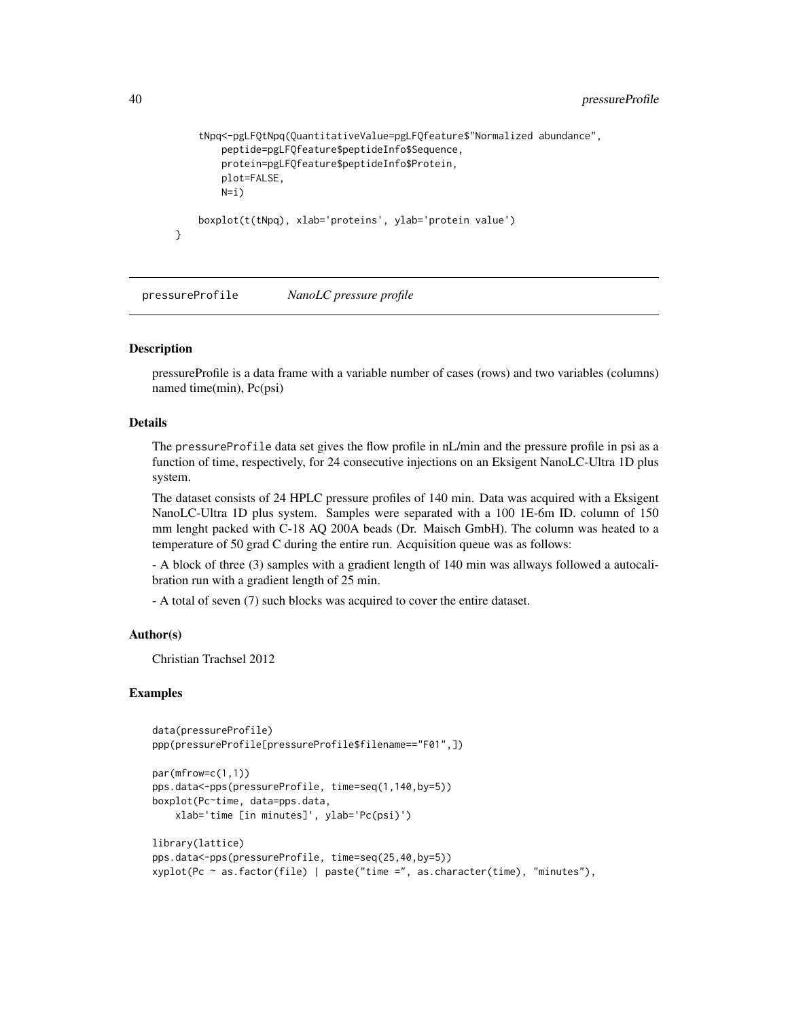```
tNpq<-pgLFQtNpq(QuantitativeValue=pgLFQfeature$"Normalized abundance",
    peptide=pgLFQfeature$peptideInfo$Sequence,
    protein=pgLFQfeature$peptideInfo$Protein,
    plot=FALSE,
    N=1)
boxplot(t(tNpq), xlab='proteins', ylab='protein value')
```
pressureProfile *NanoLC pressure profile*

#### **Description**

}

pressureProfile is a data frame with a variable number of cases (rows) and two variables (columns) named time(min), Pc(psi)

#### Details

The pressureProfile data set gives the flow profile in nL/min and the pressure profile in psi as a function of time, respectively, for 24 consecutive injections on an Eksigent NanoLC-Ultra 1D plus system.

The dataset consists of 24 HPLC pressure profiles of 140 min. Data was acquired with a Eksigent NanoLC-Ultra 1D plus system. Samples were separated with a 100 1E-6m ID. column of 150 mm lenght packed with C-18 AQ 200A beads (Dr. Maisch GmbH). The column was heated to a temperature of 50 grad C during the entire run. Acquisition queue was as follows:

- A block of three (3) samples with a gradient length of 140 min was allways followed a autocalibration run with a gradient length of 25 min.

- A total of seven (7) such blocks was acquired to cover the entire dataset.

#### Author(s)

Christian Trachsel 2012

```
data(pressureProfile)
ppp(pressureProfile[pressureProfile$filename=="F01",])
```

```
par(mfrow=c(1,1))
pps.data<-pps(pressureProfile, time=seq(1,140,by=5))
boxplot(Pc~time, data=pps.data,
   xlab='time [in minutes]', ylab='Pc(psi)')
```

```
library(lattice)
pps.data<-pps(pressureProfile, time=seq(25,40,by=5))
xyplot(Pc ~ as.factor(file) | paste("time =", as.character(time), "minutes"),
```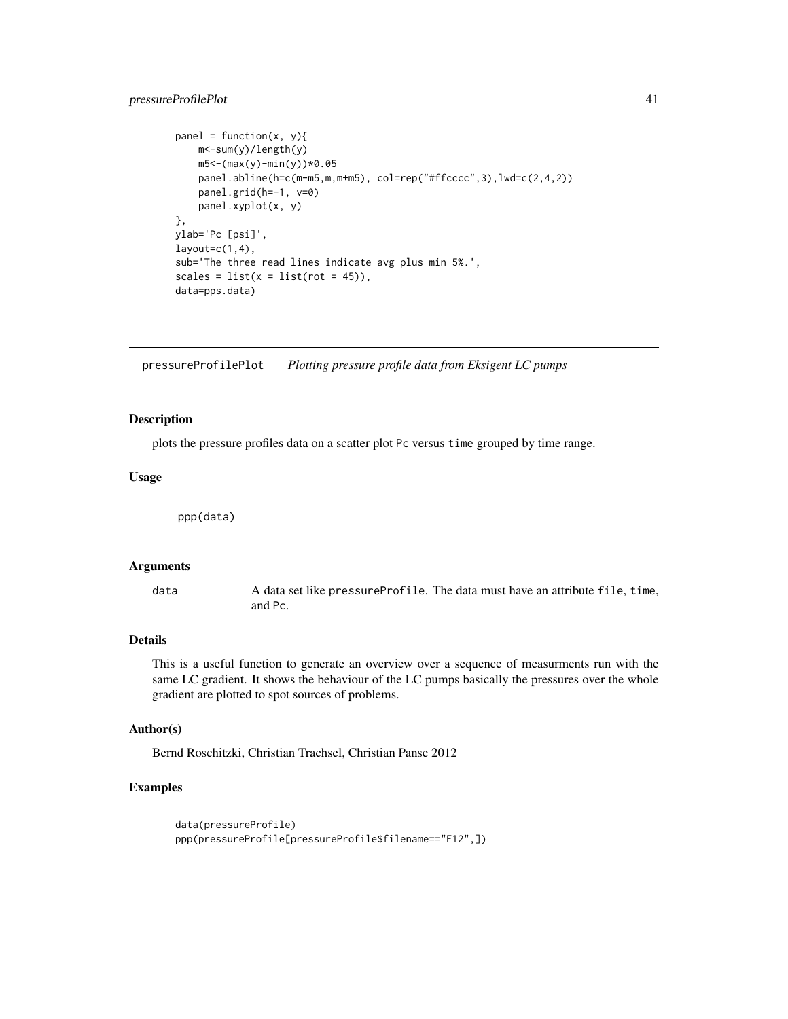## <span id="page-40-0"></span>pressureProfilePlot 41

```
panel = function(x, y){
    m<-sum(y)/length(y)
    m5<-(max(y)-min(y))*0.05
    panel.abline(h=c(m-m5,m,m+m5), col=rep("#ffcccc",3),lwd=c(2,4,2))
    panel.grid(h=-1, v=0)
    panel.xyplot(x, y)
},
ylab='Pc [psi]',
layout=c(1,4),
sub='The three read lines indicate avg plus min 5%.',
scales = list(x = list(root = 45)),data=pps.data)
```
pressureProfilePlot *Plotting pressure profile data from Eksigent LC pumps*

## Description

plots the pressure profiles data on a scatter plot Pc versus time grouped by time range.

#### Usage

ppp(data)

#### Arguments

data A data set like pressureProfile. The data must have an attribute file, time, and Pc.

## Details

This is a useful function to generate an overview over a sequence of measurments run with the same LC gradient. It shows the behaviour of the LC pumps basically the pressures over the whole gradient are plotted to spot sources of problems.

#### Author(s)

Bernd Roschitzki, Christian Trachsel, Christian Panse 2012

```
data(pressureProfile)
ppp(pressureProfile[pressureProfile$filename=="F12",])
```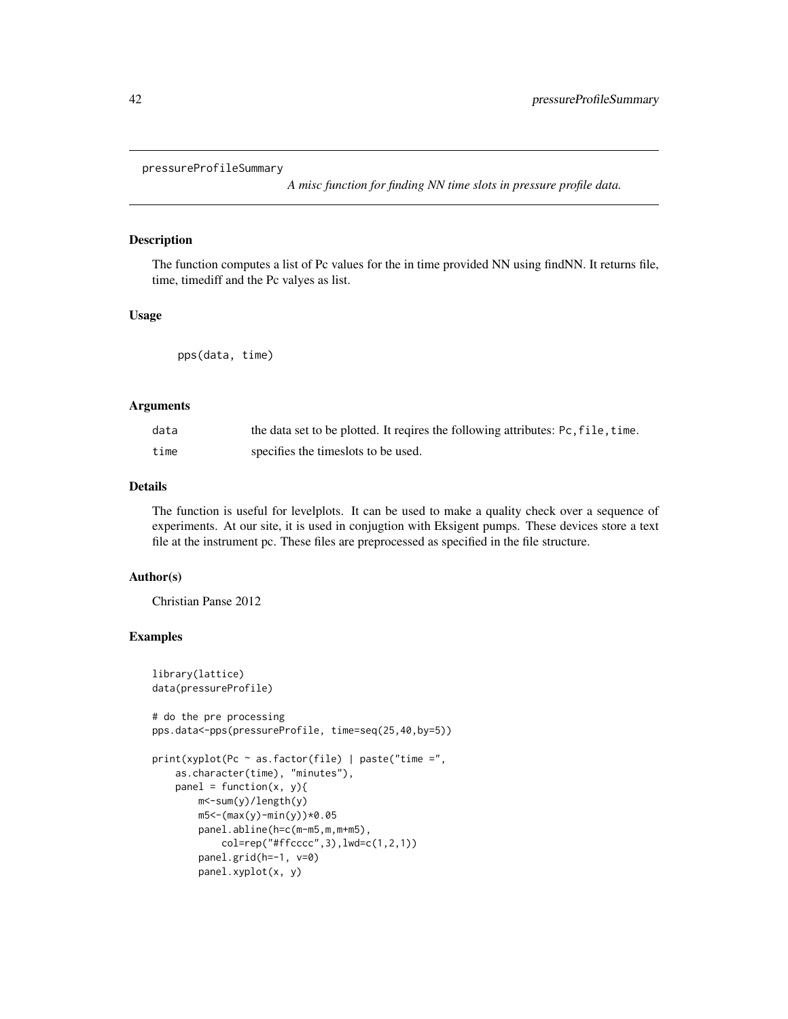```
pressureProfileSummary
```
*A misc function for finding NN time slots in pressure profile data.*

## Description

The function computes a list of Pc values for the in time provided NN using findNN. It returns file, time, timediff and the Pc valyes as list.

## Usage

pps(data, time)

#### Arguments

| data | the data set to be plotted. It reqires the following attributes: Pc, file, time. |
|------|----------------------------------------------------------------------------------|
| time | specifies the times lots to be used.                                             |

#### Details

The function is useful for levelplots. It can be used to make a quality check over a sequence of experiments. At our site, it is used in conjugtion with Eksigent pumps. These devices store a text file at the instrument pc. These files are preprocessed as specified in the file structure.

#### Author(s)

Christian Panse 2012

```
library(lattice)
data(pressureProfile)
# do the pre processing
pps.data<-pps(pressureProfile, time=seq(25,40,by=5))
print(xyplot(Pc \sim as.factor(file) | paste("time =",as.character(time), "minutes"),
   panel = function(x, y){
       m<-sum(y)/length(y)
       m5 < - (max(y) - min(y)) *0.05panel.abline(h=c(m-m5,m,m+m5),
            col=rep("#ffcccc",3),lwd=c(1,2,1))
        panel.grid(h=-1, v=0)
        panel.xyplot(x, y)
```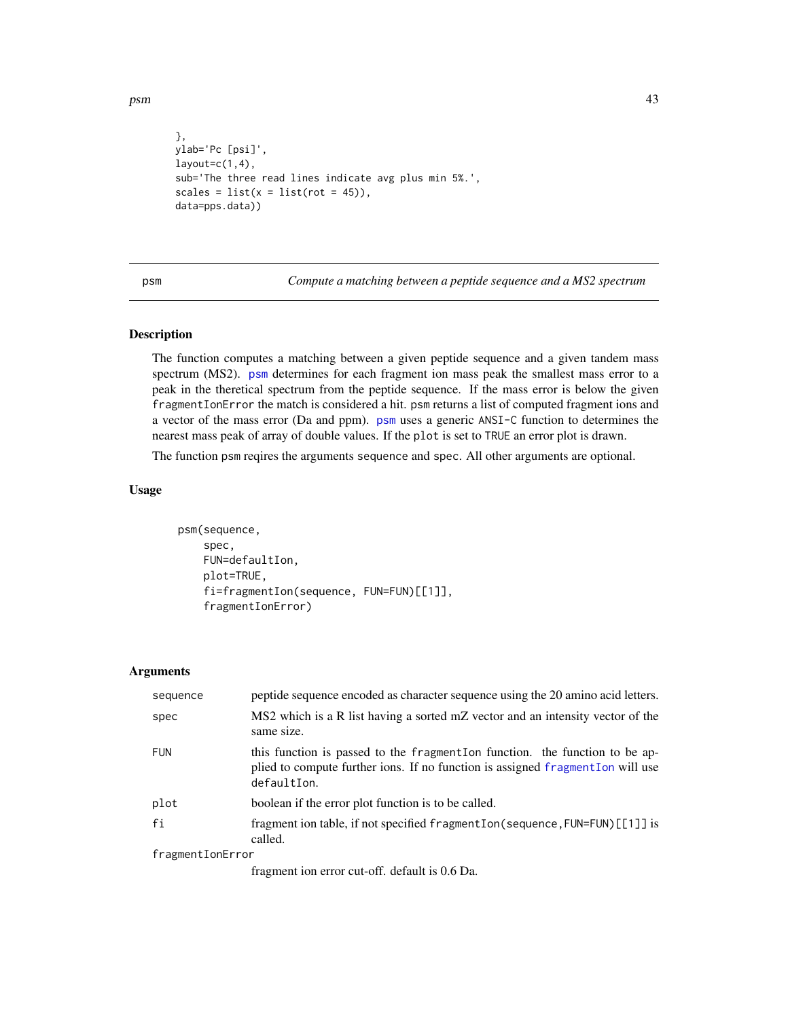<span id="page-42-0"></span>psm and the set of the set of the set of the set of the set of the set of the set of the set of the set of the set of the set of the set of the set of the set of the set of the set of the set of the set of the set of the s

```
},
ylab='Pc [psi]',
layout=c(1,4),
sub='The three read lines indicate avg plus min 5%.',
scales = list(x = list(root = 45)),data=pps.data))
```
<span id="page-42-1"></span>psm *Compute a matching between a peptide sequence and a MS2 spectrum*

#### Description

The function computes a matching between a given peptide sequence and a given tandem mass spectrum (MS2). [psm](#page-42-1) determines for each fragment ion mass peak the smallest mass error to a peak in the theretical spectrum from the peptide sequence. If the mass error is below the given fragmentIonError the match is considered a hit. psm returns a list of computed fragment ions and a vector of the mass error (Da and ppm). [psm](#page-42-1) uses a generic ANSI-C function to determines the nearest mass peak of array of double values. If the plot is set to TRUE an error plot is drawn.

The function psm reqires the arguments sequence and spec. All other arguments are optional.

## Usage

psm(sequence, spec, FUN=defaultIon, plot=TRUE, fi=fragmentIon(sequence, FUN=FUN)[[1]], fragmentIonError)

#### Arguments

| sequence         | peptide sequence encoded as character sequence using the 20 amino acid letters.                                                                                               |
|------------------|-------------------------------------------------------------------------------------------------------------------------------------------------------------------------------|
| spec             | MS2 which is a R list having a sorted mZ vector and an intensity vector of the<br>same size.                                                                                  |
| <b>FUN</b>       | this function is passed to the fragmentIon function. the function to be ap-<br>plied to compute further ions. If no function is assigned fragment Ion will use<br>defaultIon. |
| plot             | boolean if the error plot function is to be called.                                                                                                                           |
| fi               | fragment ion table, if not specified fragment Ion (sequence, FUN=FUN) [[1]] is<br>called.                                                                                     |
| fragmentIonError |                                                                                                                                                                               |
|                  | $\sim$ $\sim$ $\sim$ $\sim$ $\sim$ $\sim$ $\sim$                                                                                                                              |

fragment ion error cut-off. default is 0.6 Da.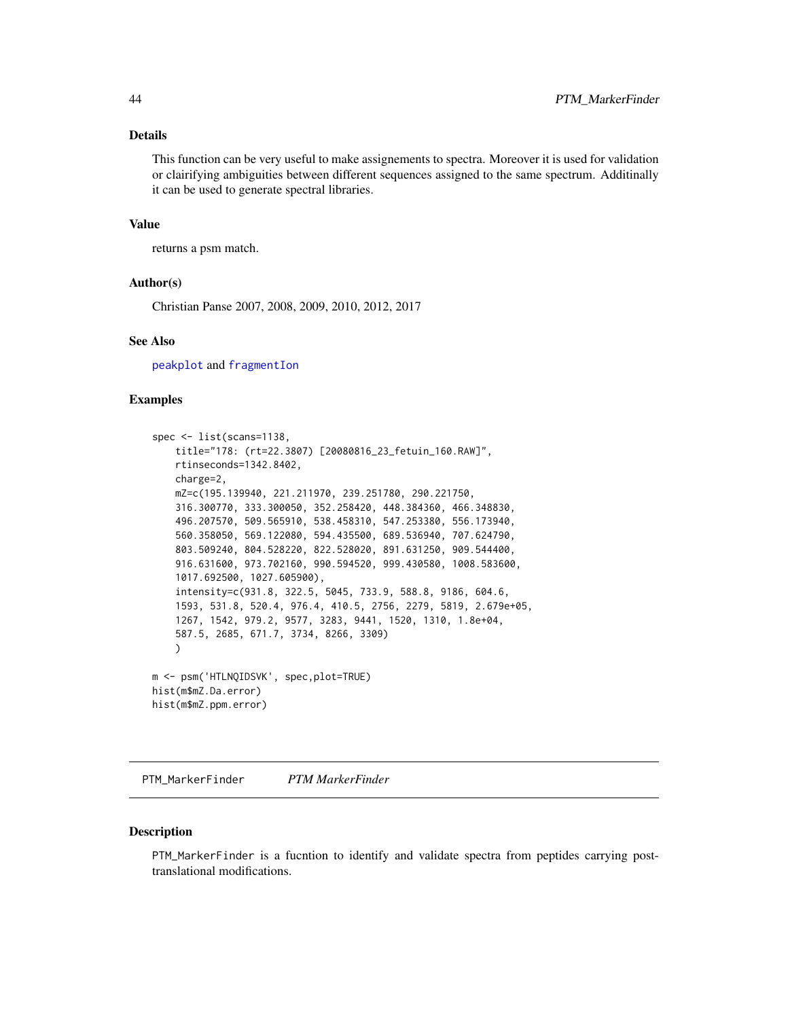## <span id="page-43-0"></span>Details

This function can be very useful to make assignements to spectra. Moreover it is used for validation or clairifying ambiguities between different sequences assigned to the same spectrum. Additinally it can be used to generate spectral libraries.

#### Value

returns a psm match.

## Author(s)

Christian Panse 2007, 2008, 2009, 2010, 2012, 2017

## See Also

[peakplot](#page-31-1) and [fragmentIon](#page-17-1)

#### Examples

```
spec <- list(scans=1138,
   title="178: (rt=22.3807) [20080816_23_fetuin_160.RAW]",
    rtinseconds=1342.8402,
    charge=2,
    mZ=c(195.139940, 221.211970, 239.251780, 290.221750,
    316.300770, 333.300050, 352.258420, 448.384360, 466.348830,
    496.207570, 509.565910, 538.458310, 547.253380, 556.173940,
    560.358050, 569.122080, 594.435500, 689.536940, 707.624790,
    803.509240, 804.528220, 822.528020, 891.631250, 909.544400,
    916.631600, 973.702160, 990.594520, 999.430580, 1008.583600,
    1017.692500, 1027.605900),
    intensity=c(931.8, 322.5, 5045, 733.9, 588.8, 9186, 604.6,
    1593, 531.8, 520.4, 976.4, 410.5, 2756, 2279, 5819, 2.679e+05,
    1267, 1542, 979.2, 9577, 3283, 9441, 1520, 1310, 1.8e+04,
    587.5, 2685, 671.7, 3734, 8266, 3309)
    )
m <- psm('HTLNQIDSVK', spec,plot=TRUE)
hist(m$mZ.Da.error)
hist(m$mZ.ppm.error)
```
<span id="page-43-1"></span>PTM\_MarkerFinder *PTM MarkerFinder*

#### Description

PTM\_MarkerFinder is a fucntion to identify and validate spectra from peptides carrying posttranslational modifications.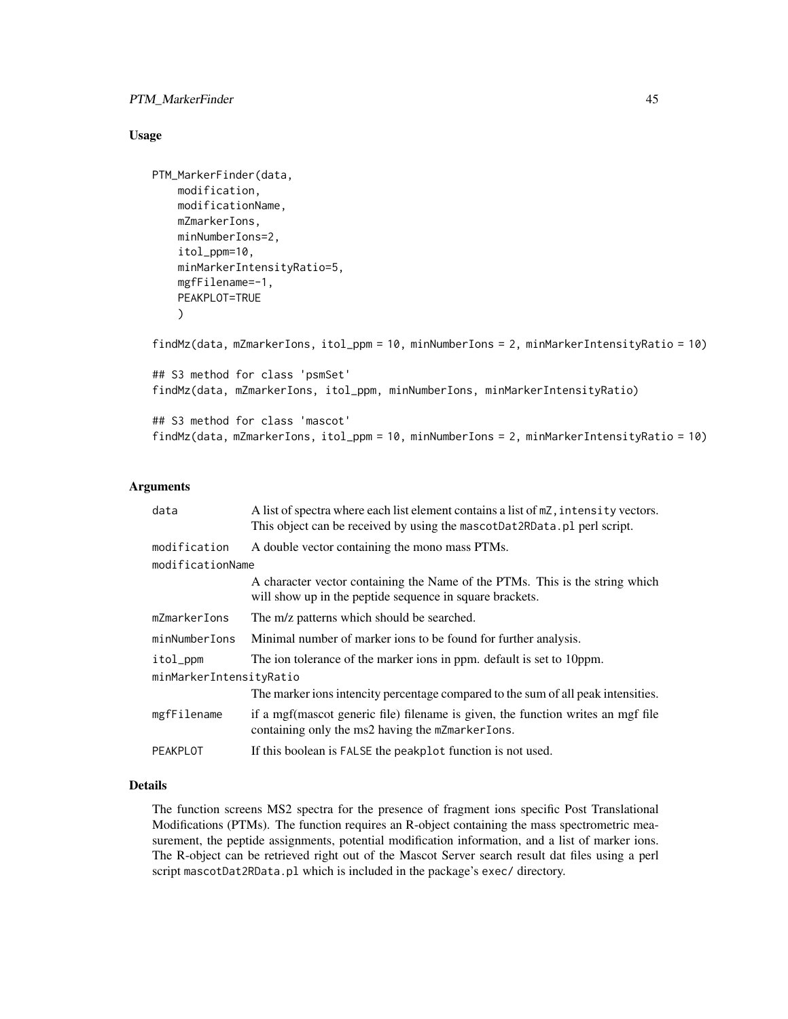## PTM\_MarkerFinder 45

#### Usage

```
PTM_MarkerFinder(data,
   modification,
   modificationName,
    mZmarkerIons,
   minNumberIons=2,
    itol_ppm=10,
    minMarkerIntensityRatio=5,
    mgfFilename=-1,
   PEAKPLOT=TRUE
    \lambdafindMz(data, mZmarkerIons, itol_ppm = 10, minNumberIons = 2, minMarkerIntensityRatio = 10)
## S3 method for class 'psmSet'
findMz(data, mZmarkerIons, itol_ppm, minNumberIons, minMarkerIntensityRatio)
## S3 method for class 'mascot'
findMz(data, mZmarkerIons, itol_ppm = 10, minNumberIons = 2, minMarkerIntensityRatio = 10)
```
## Arguments

| data                    | A list of spectra where each list element contains a list of mZ, intensity vectors.<br>This object can be received by using the mascotDat2RData.pl perl script. |  |
|-------------------------|-----------------------------------------------------------------------------------------------------------------------------------------------------------------|--|
| modification            | A double vector containing the mono mass PTMs.                                                                                                                  |  |
| modificationName        |                                                                                                                                                                 |  |
|                         | A character vector containing the Name of the PTMs. This is the string which<br>will show up in the peptide sequence in square brackets.                        |  |
| mZmarkerIons            | The m/z patterns which should be searched.                                                                                                                      |  |
| minNumberIons           | Minimal number of marker ions to be found for further analysis.                                                                                                 |  |
| itol_ppm                | The ion tolerance of the marker ions in ppm. default is set to 10ppm.                                                                                           |  |
| minMarkerIntensityRatio |                                                                                                                                                                 |  |
|                         | The marker ions intencity percentage compared to the sum of all peak intensities.                                                                               |  |
| mgfFilename             | if a mgf (mascot generic file) filename is given, the function writes an mgf file<br>containing only the ms2 having the mZmarkerIons.                           |  |
| PEAKPLOT                | If this boolean is FALSE the peakplot function is not used.                                                                                                     |  |

## Details

The function screens MS2 spectra for the presence of fragment ions specific Post Translational Modifications (PTMs). The function requires an R-object containing the mass spectrometric measurement, the peptide assignments, potential modification information, and a list of marker ions. The R-object can be retrieved right out of the Mascot Server search result dat files using a perl script mascotDat2RData.pl which is included in the package's exec/ directory.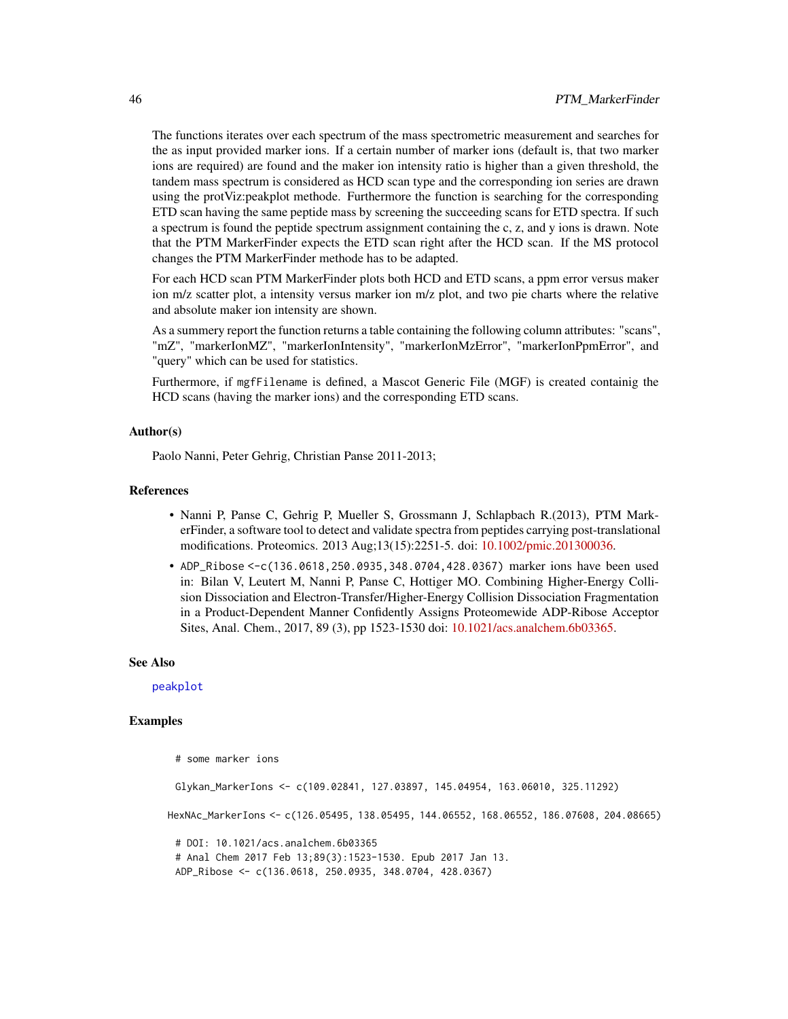<span id="page-45-0"></span>The functions iterates over each spectrum of the mass spectrometric measurement and searches for the as input provided marker ions. If a certain number of marker ions (default is, that two marker ions are required) are found and the maker ion intensity ratio is higher than a given threshold, the tandem mass spectrum is considered as HCD scan type and the corresponding ion series are drawn using the protViz:peakplot methode. Furthermore the function is searching for the corresponding ETD scan having the same peptide mass by screening the succeeding scans for ETD spectra. If such a spectrum is found the peptide spectrum assignment containing the c, z, and y ions is drawn. Note that the PTM MarkerFinder expects the ETD scan right after the HCD scan. If the MS protocol changes the PTM MarkerFinder methode has to be adapted.

For each HCD scan PTM MarkerFinder plots both HCD and ETD scans, a ppm error versus maker ion m/z scatter plot, a intensity versus marker ion m/z plot, and two pie charts where the relative and absolute maker ion intensity are shown.

As a summery report the function returns a table containing the following column attributes: "scans", "mZ", "markerIonMZ", "markerIonIntensity", "markerIonMzError", "markerIonPpmError", and "query" which can be used for statistics.

Furthermore, if mgfFilename is defined, a Mascot Generic File (MGF) is created containig the HCD scans (having the marker ions) and the corresponding ETD scans.

#### Author(s)

Paolo Nanni, Peter Gehrig, Christian Panse 2011-2013;

#### References

- Nanni P, Panse C, Gehrig P, Mueller S, Grossmann J, Schlapbach R.(2013), PTM MarkerFinder, a software tool to detect and validate spectra from peptides carrying post-translational modifications. Proteomics. 2013 Aug;13(15):2251-5. doi: [10.1002/pmic.201300036.](https://doi.org/10.1002/pmic.201300036)
- ADP\_Ribose <-c(136.0618,250.0935,348.0704,428.0367) marker ions have been used in: Bilan V, Leutert M, Nanni P, Panse C, Hottiger MO. Combining Higher-Energy Collision Dissociation and Electron-Transfer/Higher-Energy Collision Dissociation Fragmentation in a Product-Dependent Manner Confidently Assigns Proteomewide ADP-Ribose Acceptor Sites, Anal. Chem., 2017, 89 (3), pp 1523-1530 doi: [10.1021/acs.analchem.6b03365.](https://doi.org/10.1021/acs.analchem.6b03365)

#### See Also

[peakplot](#page-31-1)

```
# some marker ions
 Glykan_MarkerIons <- c(109.02841, 127.03897, 145.04954, 163.06010, 325.11292)
HexNAc_MarkerIons <- c(126.05495, 138.05495, 144.06552, 168.06552, 186.07608, 204.08665)
 # DOI: 10.1021/acs.analchem.6b03365
 # Anal Chem 2017 Feb 13;89(3):1523-1530. Epub 2017 Jan 13.
 ADP_Ribose <- c(136.0618, 250.0935, 348.0704, 428.0367)
```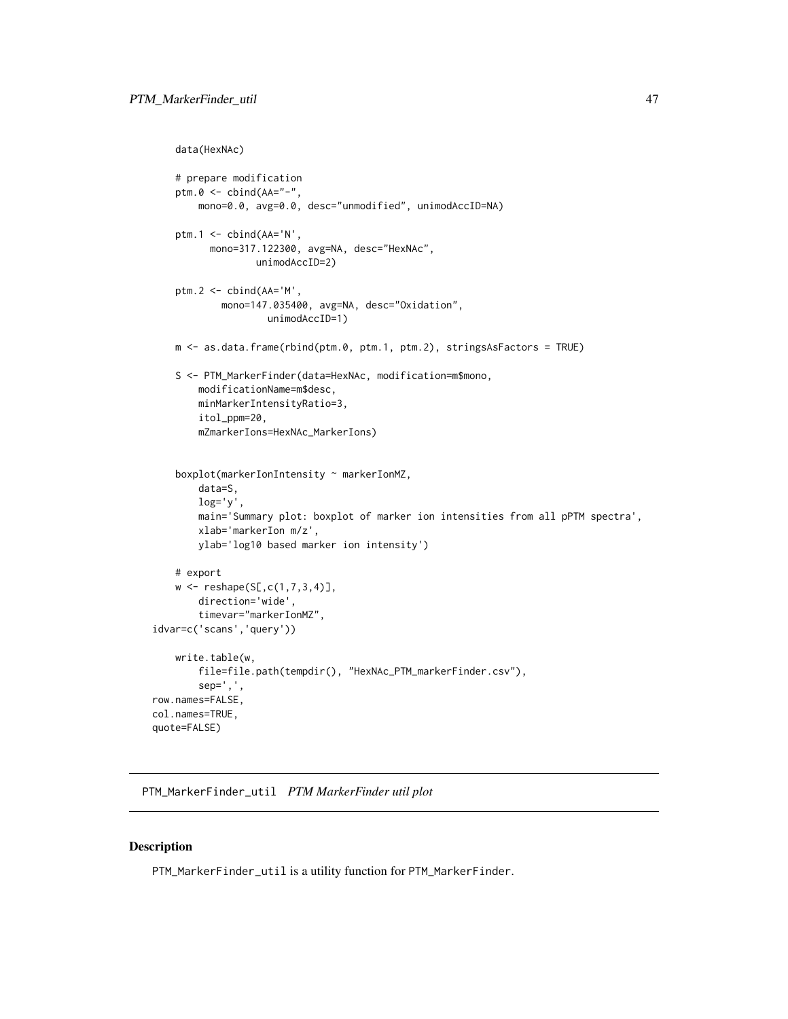```
data(HexNAc)
```

```
# prepare modification
   ptm.0 <- cbind(AA="-",
       mono=0.0, avg=0.0, desc="unmodified", unimodAccID=NA)
   ptm.1 <- cbind(AA='N',
         mono=317.122300, avg=NA, desc="HexNAc",
                  unimodAccID=2)
   ptm.2 <- cbind(AA='M',
            mono=147.035400, avg=NA, desc="Oxidation",
                    unimodAccID=1)
   m <- as.data.frame(rbind(ptm.0, ptm.1, ptm.2), stringsAsFactors = TRUE)
   S <- PTM_MarkerFinder(data=HexNAc, modification=m$mono,
       modificationName=m$desc,
       minMarkerIntensityRatio=3,
        itol_ppm=20,
        mZmarkerIons=HexNAc_MarkerIons)
    boxplot(markerIonIntensity ~ markerIonMZ,
       data=S,
       log='y',
       main='Summary plot: boxplot of marker ion intensities from all pPTM spectra',
       xlab='markerIon m/z',
       ylab='log10 based marker ion intensity')
   # export
   w \leq - reshape(S[,c(1,7,3,4)],
       direction='wide',
        timevar="markerIonMZ",
idvar=c('scans','query'))
   write.table(w,
        file=file.path(tempdir(), "HexNAc_PTM_markerFinder.csv"),
        sep=',',
row.names=FALSE,
col.names=TRUE,
quote=FALSE)
```
PTM\_MarkerFinder\_util *PTM MarkerFinder util plot*

#### Description

PTM\_MarkerFinder\_util is a utility function for PTM\_MarkerFinder.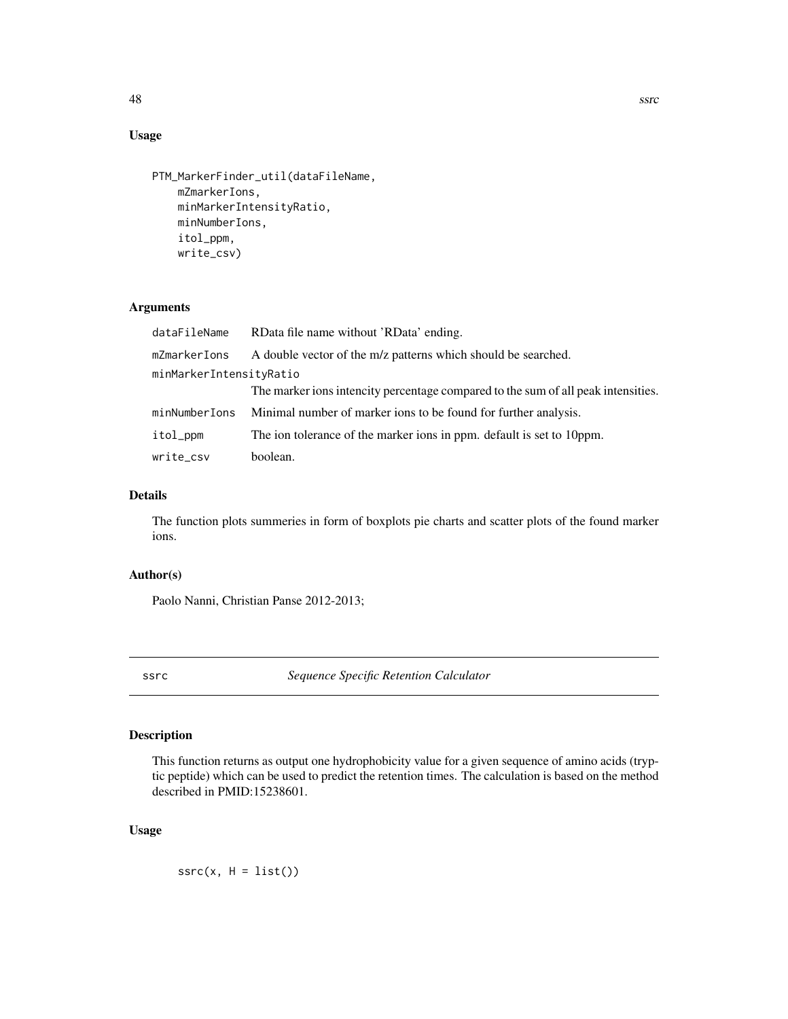## Usage

```
PTM_MarkerFinder_util(dataFileName,
   mZmarkerIons,
   minMarkerIntensityRatio,
   minNumberIons,
    itol_ppm,
   write_csv)
```
## Arguments

| dataFileName            | RData file name without 'RData' ending.                                           |  |
|-------------------------|-----------------------------------------------------------------------------------|--|
| mZmarkerIons            | A double vector of the m/z patterns which should be searched.                     |  |
| minMarkerIntensityRatio |                                                                                   |  |
|                         | The marker ions intencity percentage compared to the sum of all peak intensities. |  |
| minNumberIons           | Minimal number of marker ions to be found for further analysis.                   |  |
| itol_ppm                | The ion tolerance of the marker ions in ppm. default is set to 10ppm.             |  |
| write_csv               | boolean.                                                                          |  |

## Details

The function plots summeries in form of boxplots pie charts and scatter plots of the found marker ions.

## Author(s)

Paolo Nanni, Christian Panse 2012-2013;

ssrc *Sequence Specific Retention Calculator*

## Description

This function returns as output one hydrophobicity value for a given sequence of amino acids (tryptic peptide) which can be used to predict the retention times. The calculation is based on the method described in PMID:15238601.

## Usage

 $ssrc(x, H = list())$ 

<span id="page-47-0"></span>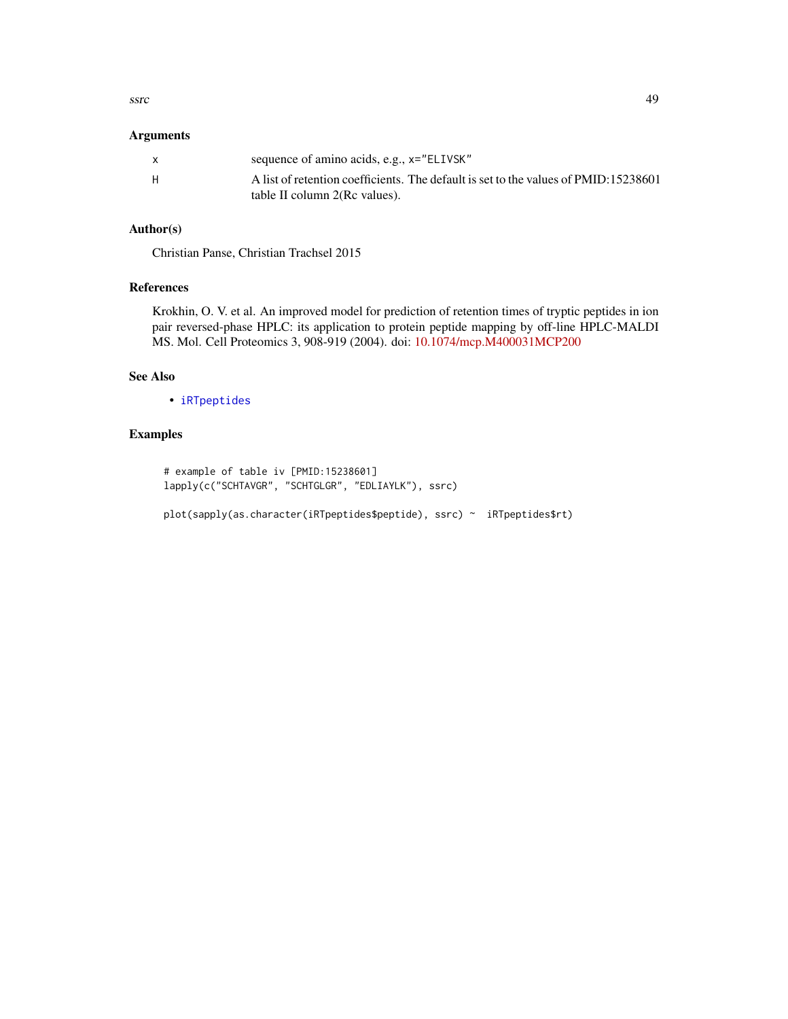<span id="page-48-0"></span>ssrc and the state of the state of the state of the state of the state of the state of the state of the state of the state of the state of the state of the state of the state of the state of the state of the state of the s

## Arguments

| X  | sequence of amino acids, e.g., x="ELIVSK"                                                                            |
|----|----------------------------------------------------------------------------------------------------------------------|
| Н. | A list of retention coefficients. The default is set to the values of PMID:15238601<br>table II column 2(Rc values). |

## Author(s)

Christian Panse, Christian Trachsel 2015

## References

Krokhin, O. V. et al. An improved model for prediction of retention times of tryptic peptides in ion pair reversed-phase HPLC: its application to protein peptide mapping by off-line HPLC-MALDI MS. Mol. Cell Proteomics 3, 908-919 (2004). doi: [10.1074/mcp.M400031MCP200](https://doi.org/10.1074/mcp.M400031-MCP200)

## See Also

• [iRTpeptides](#page-22-1)

```
# example of table iv [PMID:15238601]
lapply(c("SCHTAVGR", "SCHTGLGR", "EDLIAYLK"), ssrc)
```

```
plot(sapply(as.character(iRTpeptides$peptide), ssrc) ~ iRTpeptides$rt)
```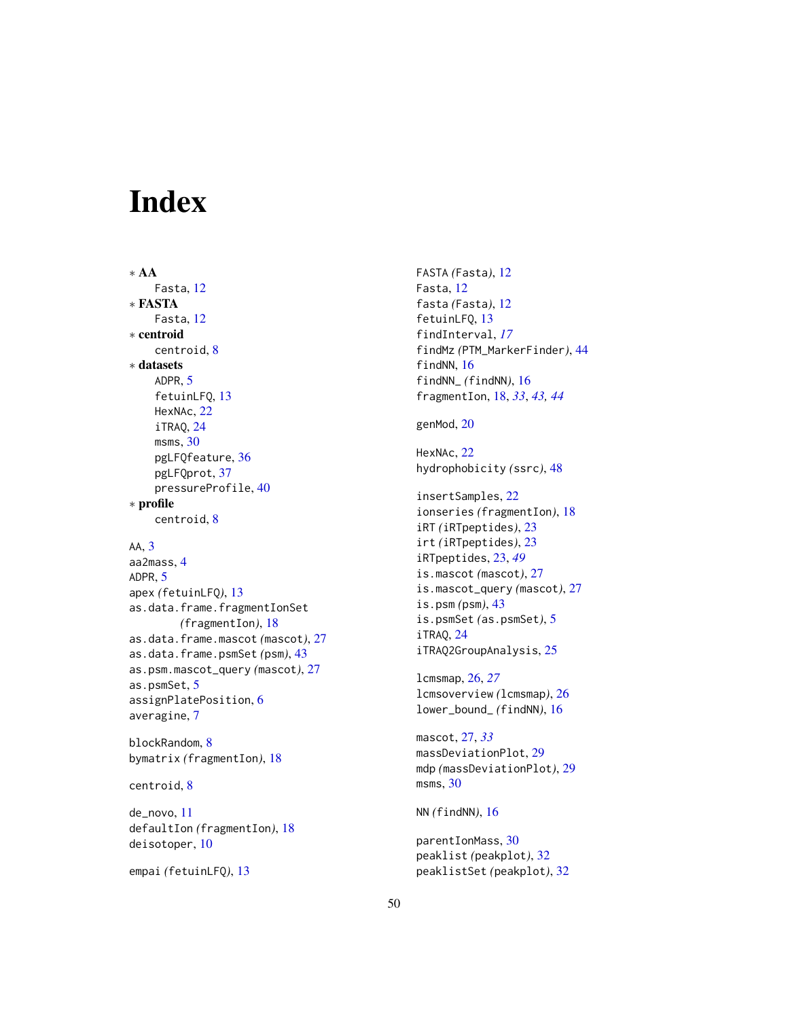# <span id="page-49-0"></span>**Index**

∗ AA Fasta, [12](#page-11-0) ∗ FASTA Fasta, [12](#page-11-0) ∗ centroid centroid, [8](#page-7-0) ∗ datasets ADPR, [5](#page-4-0) fetuinLFQ, [13](#page-12-0) HexNAc, [22](#page-21-0) iTRAQ, [24](#page-23-0) msms, [30](#page-29-0) pgLFQfeature, [36](#page-35-0) pgLFQprot, [37](#page-36-0) pressureProfile, [40](#page-39-0) ∗ profile centroid, [8](#page-7-0)

## AA, [3](#page-2-0)

aa2mass, [4](#page-3-0) ADPR, [5](#page-4-0) apex *(*fetuinLFQ*)*, [13](#page-12-0) as.data.frame.fragmentIonSet *(*fragmentIon*)*, [18](#page-17-0) as.data.frame.mascot *(*mascot*)*, [27](#page-26-0) as.data.frame.psmSet *(*psm*)*, [43](#page-42-0) as.psm.mascot\_query *(*mascot*)*, [27](#page-26-0) as.psmSet, [5](#page-4-0) assignPlatePosition, [6](#page-5-0) averagine, [7](#page-6-0)

blockRandom, [8](#page-7-0) bymatrix *(*fragmentIon*)*, [18](#page-17-0)

centroid, [8](#page-7-0)

de\_novo, [11](#page-10-0) defaultIon *(*fragmentIon*)*, [18](#page-17-0) deisotoper, [10](#page-9-0)

empai *(*fetuinLFQ*)*, [13](#page-12-0)

FASTA *(*Fasta*)*, [12](#page-11-0) Fasta, [12](#page-11-0) fasta *(*Fasta*)*, [12](#page-11-0) fetuinLFQ, [13](#page-12-0) findInterval, *[17](#page-16-0)* findMz *(*PTM\_MarkerFinder*)*, [44](#page-43-0) findNN, [16](#page-15-0) findNN\_ *(*findNN*)*, [16](#page-15-0) fragmentIon, [18,](#page-17-0) *[33](#page-32-0)*, *[43,](#page-42-0) [44](#page-43-0)*

## genMod, [20](#page-19-0)

HexNAc, [22](#page-21-0) hydrophobicity *(*ssrc*)*, [48](#page-47-0)

insertSamples, [22](#page-21-0) ionseries *(*fragmentIon*)*, [18](#page-17-0) iRT *(*iRTpeptides*)*, [23](#page-22-0) irt *(*iRTpeptides*)*, [23](#page-22-0) iRTpeptides, [23,](#page-22-0) *[49](#page-48-0)* is.mascot *(*mascot*)*, [27](#page-26-0) is.mascot\_query *(*mascot*)*, [27](#page-26-0) is.psm *(*psm*)*, [43](#page-42-0) is.psmSet *(*as.psmSet*)*, [5](#page-4-0) iTRAQ, [24](#page-23-0) iTRAQ2GroupAnalysis, [25](#page-24-0)

lcmsmap, [26,](#page-25-0) *[27](#page-26-0)* lcmsoverview *(*lcmsmap*)*, [26](#page-25-0) lower\_bound\_ *(*findNN*)*, [16](#page-15-0)

mascot, [27,](#page-26-0) *[33](#page-32-0)* massDeviationPlot, [29](#page-28-0) mdp *(*massDeviationPlot*)*, [29](#page-28-0) msms, [30](#page-29-0)

NN *(*findNN*)*, [16](#page-15-0)

parentIonMass, [30](#page-29-0) peaklist *(*peakplot*)*, [32](#page-31-0) peaklistSet *(*peakplot*)*, [32](#page-31-0)